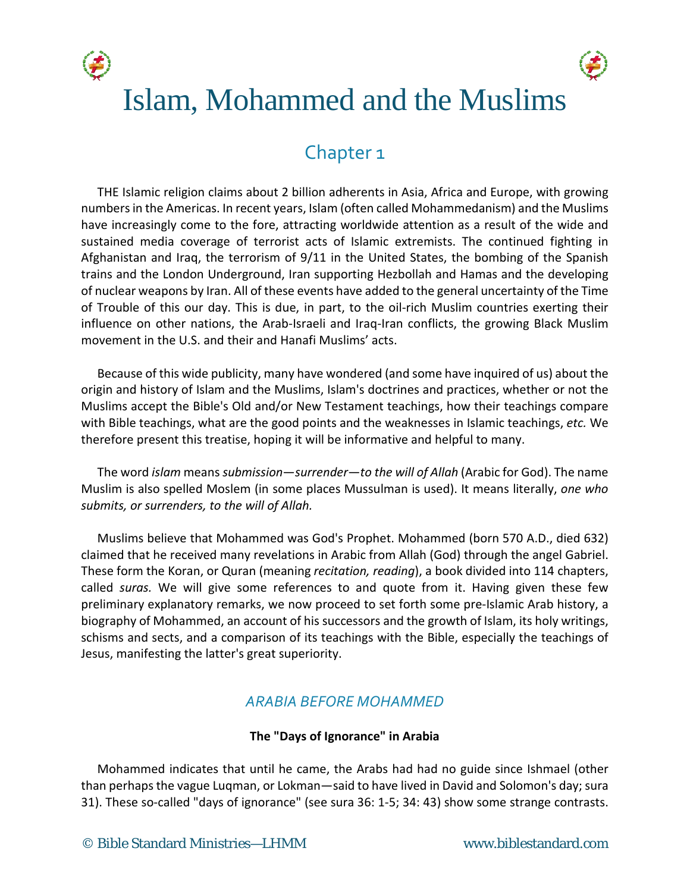



# Islam, Mohammed and the Muslims

## Chapter 1

THE Islamic religion claims about 2 billion adherents in Asia, Africa and Europe, with growing numbers in the Americas. In recent years, Islam (often called Mohammedanism) and the Muslims have increasingly come to the fore, attracting worldwide attention as a result of the wide and sustained media coverage of terrorist acts of Islamic extremists. The continued fighting in Afghanistan and Iraq, the terrorism of 9/11 in the United States, the bombing of the Spanish trains and the London Underground, Iran supporting Hezbollah and Hamas and the developing of nuclear weapons by Iran. All of these events have added to the general uncertainty of the Time of Trouble of this our day. This is due, in part, to the oil-rich Muslim countries exerting their influence on other nations, the Arab-Israeli and Iraq-Iran conflicts, the growing Black Muslim movement in the U.S. and their and Hanafi Muslims' acts.

Because of this wide publicity, many have wondered (and some have inquired of us) about the origin and history of Islam and the Muslims, Islam's doctrines and practices, whether or not the Muslims accept the Bible's Old and/or New Testament teachings, how their teachings compare with Bible teachings, what are the good points and the weaknesses in Islamic teachings, *etc.* We therefore present this treatise, hoping it will be informative and helpful to many.

The word *islam* means *submission*—*surrender*—*to the will of Allah* (Arabic for God). The name Muslim is also spelled Moslem (in some places Mussulman is used). It means literally, *one who submits, or surrenders, to the will of Allah.*

Muslims believe that Mohammed was God's Prophet. Mohammed (born 570 A.D., died 632) claimed that he received many revelations in Arabic from Allah (God) through the angel Gabriel. These form the Koran, or Quran (meaning *recitation, reading*), a book divided into 114 chapters, called *suras.* We will give some references to and quote from it. Having given these few preliminary explanatory remarks, we now proceed to set forth some pre-Islamic Arab history, a biography of Mohammed, an account of his successors and the growth of Islam, its holy writings, schisms and sects, and a comparison of its teachings with the Bible, especially the teachings of Jesus, manifesting the latter's great superiority.

## *ARABIA BEFORE MOHAMMED*

## **The "Days of Ignorance" in Arabia**

Mohammed indicates that until he came, the Arabs had had no guide since Ishmael (other than perhaps the vague Luqman, or Lokman—said to have lived in David and Solomon's day; sura 31). These so-called "days of ignorance" (see sura 36: 1-5; 34: 43) show some strange contrasts.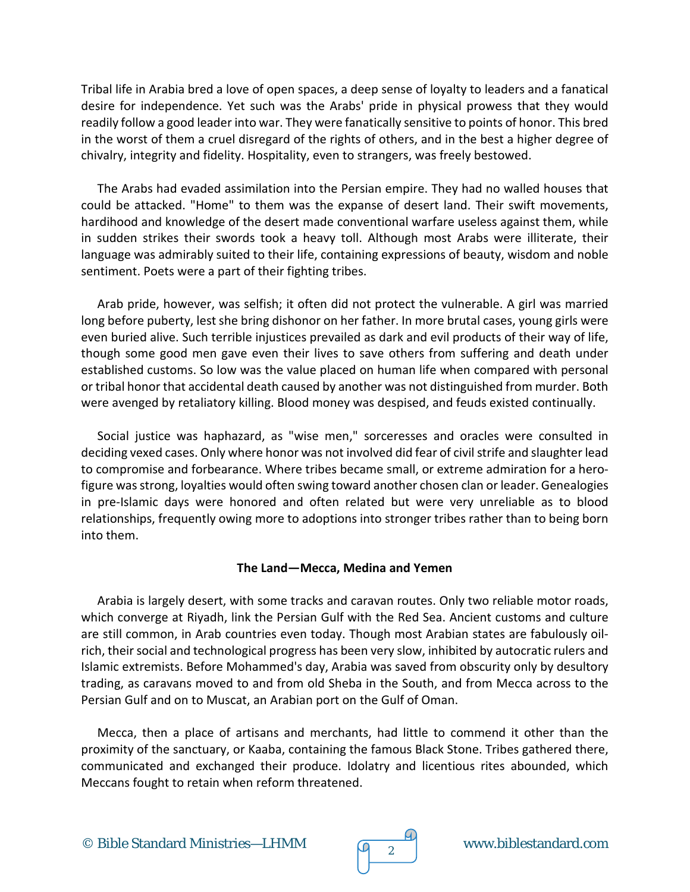Tribal life in Arabia bred a love of open spaces, a deep sense of loyalty to leaders and a fanatical desire for independence. Yet such was the Arabs' pride in physical prowess that they would readily follow a good leader into war. They were fanatically sensitive to points of honor. This bred in the worst of them a cruel disregard of the rights of others, and in the best a higher degree of chivalry, integrity and fidelity. Hospitality, even to strangers, was freely bestowed.

The Arabs had evaded assimilation into the Persian empire. They had no walled houses that could be attacked. "Home" to them was the expanse of desert land. Their swift movements, hardihood and knowledge of the desert made conventional warfare useless against them, while in sudden strikes their swords took a heavy toll. Although most Arabs were illiterate, their language was admirably suited to their life, containing expressions of beauty, wisdom and noble sentiment. Poets were a part of their fighting tribes.

Arab pride, however, was selfish; it often did not protect the vulnerable. A girl was married long before puberty, lest she bring dishonor on her father. In more brutal cases, young girls were even buried alive. Such terrible injustices prevailed as dark and evil products of their way of life, though some good men gave even their lives to save others from suffering and death under established customs. So low was the value placed on human life when compared with personal or tribal honor that accidental death caused by another was not distinguished from murder. Both were avenged by retaliatory killing. Blood money was despised, and feuds existed continually.

Social justice was haphazard, as "wise men," sorceresses and oracles were consulted in deciding vexed cases. Only where honor was not involved did fear of civil strife and slaughter lead to compromise and forbearance. Where tribes became small, or extreme admiration for a herofigure was strong, loyalties would often swing toward another chosen clan or leader. Genealogies in pre-Islamic days were honored and often related but were very unreliable as to blood relationships, frequently owing more to adoptions into stronger tribes rather than to being born into them.

## **The Land—Mecca, Medina and Yemen**

Arabia is largely desert, with some tracks and caravan routes. Only two reliable motor roads, which converge at Riyadh, link the Persian Gulf with the Red Sea. Ancient customs and culture are still common, in Arab countries even today. Though most Arabian states are fabulously oilrich, their social and technological progress has been very slow, inhibited by autocratic rulers and Islamic extremists. Before Mohammed's day, Arabia was saved from obscurity only by desultory trading, as caravans moved to and from old Sheba in the South, and from Mecca across to the Persian Gulf and on to Muscat, an Arabian port on the Gulf of Oman.

Mecca, then a place of artisans and merchants, had little to commend it other than the proximity of the sanctuary, or Kaaba, containing the famous Black Stone. Tribes gathered there, communicated and exchanged their produce. Idolatry and licentious rites abounded, which Meccans fought to retain when reform threatened.

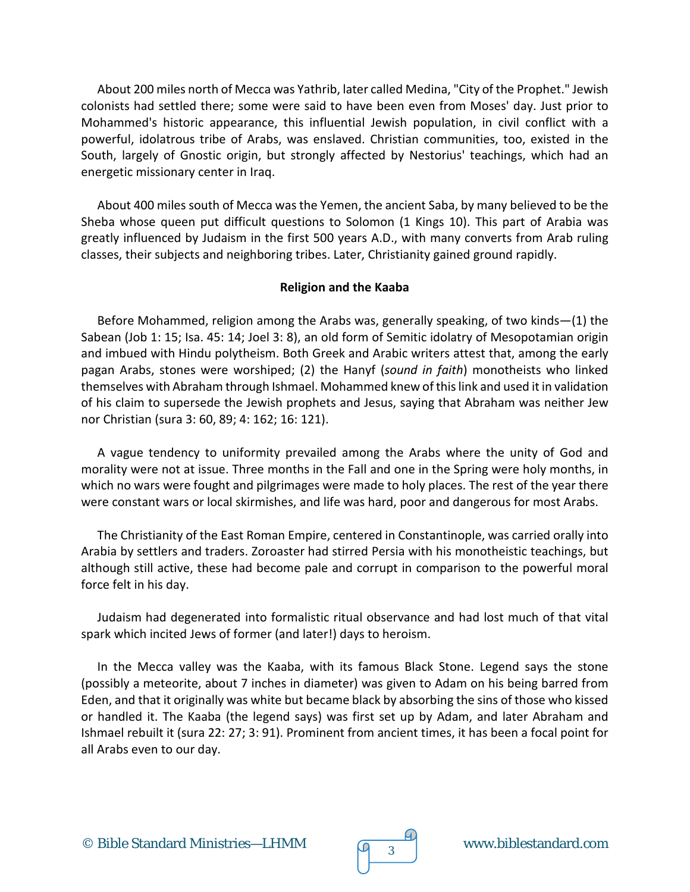About 200 miles north of Mecca was Yathrib, later called Medina, "City of the Prophet." Jewish colonists had settled there; some were said to have been even from Moses' day. Just prior to Mohammed's historic appearance, this influential Jewish population, in civil conflict with a powerful, idolatrous tribe of Arabs, was enslaved. Christian communities, too, existed in the South, largely of Gnostic origin, but strongly affected by Nestorius' teachings, which had an energetic missionary center in Iraq.

About 400 miles south of Mecca was the Yemen, the ancient Saba, by many believed to be the Sheba whose queen put difficult questions to Solomon (1 Kings 10). This part of Arabia was greatly influenced by Judaism in the first 500 years A.D., with many converts from Arab ruling classes, their subjects and neighboring tribes. Later, Christianity gained ground rapidly.

## **Religion and the Kaaba**

Before Mohammed, religion among the Arabs was, generally speaking, of two kinds—(1) the Sabean (Job 1: 15; Isa. 45: 14; Joel 3: 8), an old form of Semitic idolatry of Mesopotamian origin and imbued with Hindu polytheism. Both Greek and Arabic writers attest that, among the early pagan Arabs, stones were worshiped; (2) the Hanyf (*sound in faith*) monotheists who linked themselves with Abraham through Ishmael. Mohammed knew of this link and used it in validation of his claim to supersede the Jewish prophets and Jesus, saying that Abraham was neither Jew nor Christian (sura 3: 60, 89; 4: 162; 16: 121).

A vague tendency to uniformity prevailed among the Arabs where the unity of God and morality were not at issue. Three months in the Fall and one in the Spring were holy months, in which no wars were fought and pilgrimages were made to holy places. The rest of the year there were constant wars or local skirmishes, and life was hard, poor and dangerous for most Arabs.

The Christianity of the East Roman Empire, centered in Constantinople, was carried orally into Arabia by settlers and traders. Zoroaster had stirred Persia with his monotheistic teachings, but although still active, these had become pale and corrupt in comparison to the powerful moral force felt in his day.

Judaism had degenerated into formalistic ritual observance and had lost much of that vital spark which incited Jews of former (and later!) days to heroism.

In the Mecca valley was the Kaaba, with its famous Black Stone. Legend says the stone (possibly a meteorite, about 7 inches in diameter) was given to Adam on his being barred from Eden, and that it originally was white but became black by absorbing the sins of those who kissed or handled it. The Kaaba (the legend says) was first set up by Adam, and later Abraham and Ishmael rebuilt it (sura 22: 27; 3: 91). Prominent from ancient times, it has been a focal point for all Arabs even to our day.

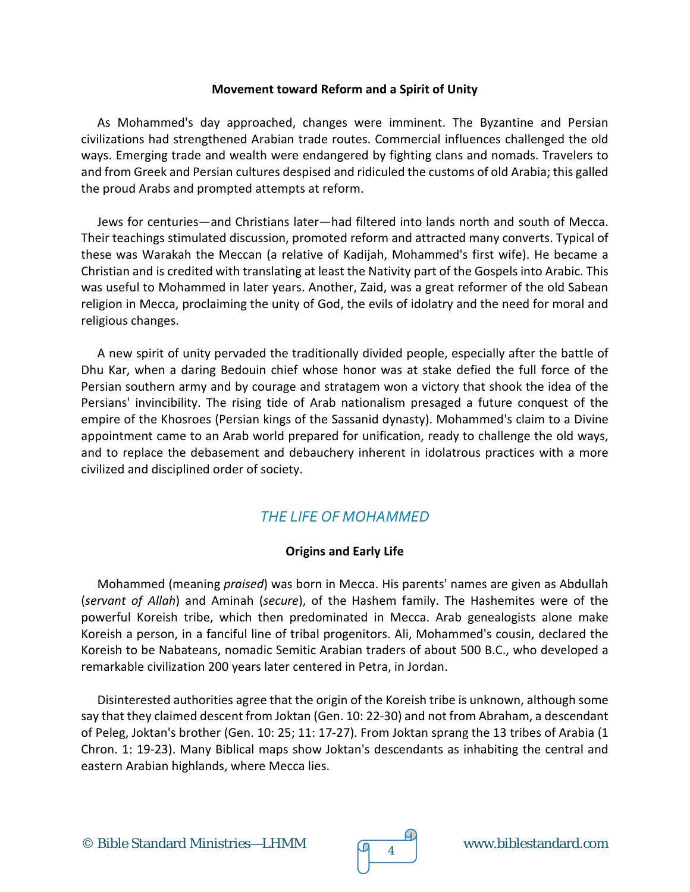#### **Movement toward Reform and a Spirit of Unity**

As Mohammed's day approached, changes were imminent. The Byzantine and Persian civilizations had strengthened Arabian trade routes. Commercial influences challenged the old ways. Emerging trade and wealth were endangered by fighting clans and nomads. Travelers to and from Greek and Persian cultures despised and ridiculed the customs of old Arabia; this galled the proud Arabs and prompted attempts at reform.

Jews for centuries—and Christians later—had filtered into lands north and south of Mecca. Their teachings stimulated discussion, promoted reform and attracted many converts. Typical of these was Warakah the Meccan (a relative of Kadijah, Mohammed's first wife). He became a Christian and is credited with translating at least the Nativity part of the Gospels into Arabic. This was useful to Mohammed in later years. Another, Zaid, was a great reformer of the old Sabean religion in Mecca, proclaiming the unity of God, the evils of idolatry and the need for moral and religious changes.

A new spirit of unity pervaded the traditionally divided people, especially after the battle of Dhu Kar, when a daring Bedouin chief whose honor was at stake defied the full force of the Persian southern army and by courage and stratagem won a victory that shook the idea of the Persians' invincibility. The rising tide of Arab nationalism presaged a future conquest of the empire of the Khosroes (Persian kings of the Sassanid dynasty). Mohammed's claim to a Divine appointment came to an Arab world prepared for unification, ready to challenge the old ways, and to replace the debasement and debauchery inherent in idolatrous practices with a more civilized and disciplined order of society.

## *THE LIFE OF MOHAMMED*

## **Origins and Early Life**

Mohammed (meaning *praised*) was born in Mecca. His parents' names are given as Abdullah (*servant of Allah*) and Aminah (*secure*), of the Hashem family. The Hashemites were of the powerful Koreish tribe, which then predominated in Mecca. Arab genealogists alone make Koreish a person, in a fanciful line of tribal progenitors. Ali, Mohammed's cousin, declared the Koreish to be Nabateans, nomadic Semitic Arabian traders of about 500 B.C., who developed a remarkable civilization 200 years later centered in Petra, in Jordan.

Disinterested authorities agree that the origin of the Koreish tribe is unknown, although some say that they claimed descent from Joktan (Gen. 10: 22-30) and not from Abraham, a descendant of Peleg, Joktan's brother (Gen. 10: 25; 11: 17-27). From Joktan sprang the 13 tribes of Arabia (1 Chron. 1: 19-23). Many Biblical maps show Joktan's descendants as inhabiting the central and eastern Arabian highlands, where Mecca lies.

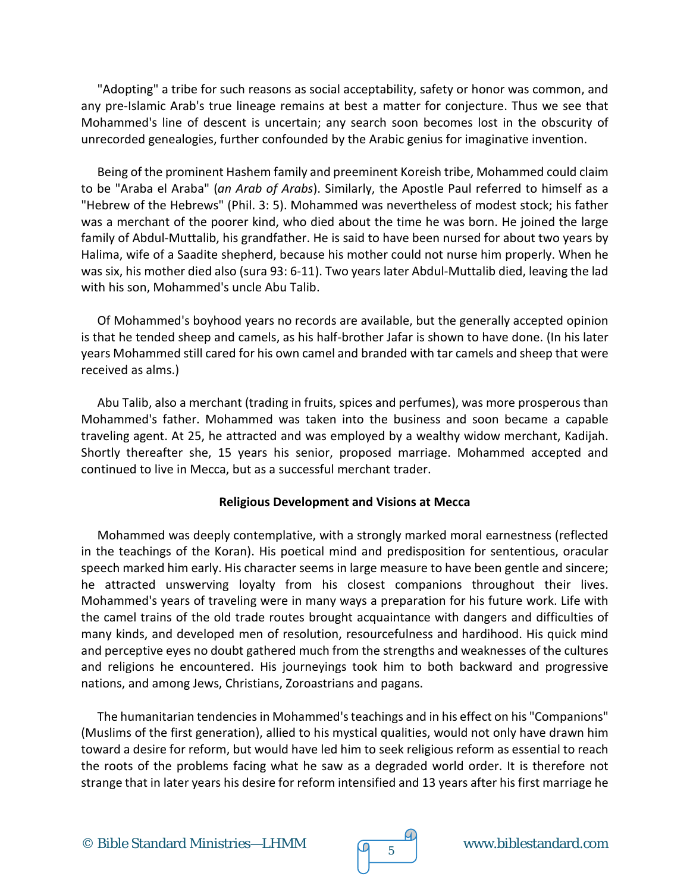"Adopting" a tribe for such reasons as social acceptability, safety or honor was common, and any pre-Islamic Arab's true lineage remains at best a matter for conjecture. Thus we see that Mohammed's line of descent is uncertain; any search soon becomes lost in the obscurity of unrecorded genealogies, further confounded by the Arabic genius for imaginative invention.

Being of the prominent Hashem family and preeminent Koreish tribe, Mohammed could claim to be "Araba el Araba" (*an Arab of Arabs*). Similarly, the Apostle Paul referred to himself as a "Hebrew of the Hebrews" (Phil. 3: 5). Mohammed was nevertheless of modest stock; his father was a merchant of the poorer kind, who died about the time he was born. He joined the large family of Abdul-Muttalib, his grandfather. He is said to have been nursed for about two years by Halima, wife of a Saadite shepherd, because his mother could not nurse him properly. When he was six, his mother died also (sura 93: 6-11). Two years later Abdul-Muttalib died, leaving the lad with his son, Mohammed's uncle Abu Talib.

Of Mohammed's boyhood years no records are available, but the generally accepted opinion is that he tended sheep and camels, as his half-brother Jafar is shown to have done. (In his later years Mohammed still cared for his own camel and branded with tar camels and sheep that were received as alms.)

Abu Talib, also a merchant (trading in fruits, spices and perfumes), was more prosperous than Mohammed's father. Mohammed was taken into the business and soon became a capable traveling agent. At 25, he attracted and was employed by a wealthy widow merchant, Kadijah. Shortly thereafter she, 15 years his senior, proposed marriage. Mohammed accepted and continued to live in Mecca, but as a successful merchant trader.

## **Religious Development and Visions at Mecca**

Mohammed was deeply contemplative, with a strongly marked moral earnestness (reflected in the teachings of the Koran). His poetical mind and predisposition for sententious, oracular speech marked him early. His character seems in large measure to have been gentle and sincere; he attracted unswerving loyalty from his closest companions throughout their lives. Mohammed's years of traveling were in many ways a preparation for his future work. Life with the camel trains of the old trade routes brought acquaintance with dangers and difficulties of many kinds, and developed men of resolution, resourcefulness and hardihood. His quick mind and perceptive eyes no doubt gathered much from the strengths and weaknesses of the cultures and religions he encountered. His journeyings took him to both backward and progressive nations, and among Jews, Christians, Zoroastrians and pagans.

The humanitarian tendencies in Mohammed's teachings and in his effect on his "Companions" (Muslims of the first generation), allied to his mystical qualities, would not only have drawn him toward a desire for reform, but would have led him to seek religious reform as essential to reach the roots of the problems facing what he saw as a degraded world order. It is therefore not strange that in later years his desire for reform intensified and 13 years after his first marriage he

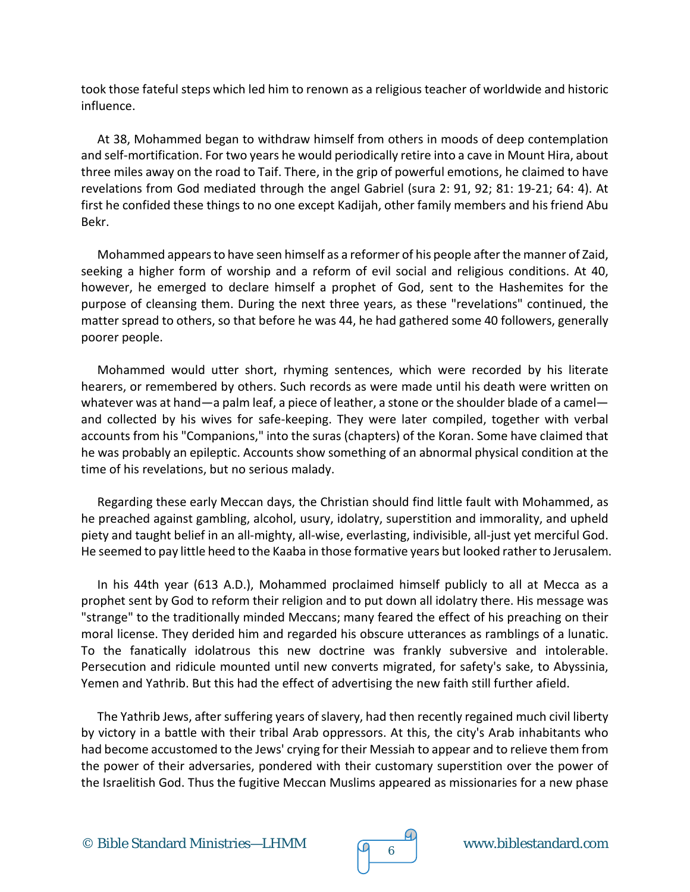took those fateful steps which led him to renown as a religious teacher of worldwide and historic influence.

At 38, Mohammed began to withdraw himself from others in moods of deep contemplation and self-mortification. For two years he would periodically retire into a cave in Mount Hira, about three miles away on the road to Taif. There, in the grip of powerful emotions, he claimed to have revelations from God mediated through the angel Gabriel (sura 2: 91, 92; 81: 19-21; 64: 4). At first he confided these things to no one except Kadijah, other family members and his friend Abu Bekr.

Mohammed appears to have seen himself as a reformer of his people after the manner of Zaid, seeking a higher form of worship and a reform of evil social and religious conditions. At 40, however, he emerged to declare himself a prophet of God, sent to the Hashemites for the purpose of cleansing them. During the next three years, as these "revelations" continued, the matter spread to others, so that before he was 44, he had gathered some 40 followers, generally poorer people.

Mohammed would utter short, rhyming sentences, which were recorded by his literate hearers, or remembered by others. Such records as were made until his death were written on whatever was at hand—a palm leaf, a piece of leather, a stone or the shoulder blade of a camel and collected by his wives for safe-keeping. They were later compiled, together with verbal accounts from his "Companions," into the suras (chapters) of the Koran. Some have claimed that he was probably an epileptic. Accounts show something of an abnormal physical condition at the time of his revelations, but no serious malady.

Regarding these early Meccan days, the Christian should find little fault with Mohammed, as he preached against gambling, alcohol, usury, idolatry, superstition and immorality, and upheld piety and taught belief in an all-mighty, all-wise, everlasting, indivisible, all-just yet merciful God. He seemed to pay little heed to the Kaaba in those formative years but looked rather to Jerusalem.

In his 44th year (613 A.D.), Mohammed proclaimed himself publicly to all at Mecca as a prophet sent by God to reform their religion and to put down all idolatry there. His message was "strange" to the traditionally minded Meccans; many feared the effect of his preaching on their moral license. They derided him and regarded his obscure utterances as ramblings of a lunatic. To the fanatically idolatrous this new doctrine was frankly subversive and intolerable. Persecution and ridicule mounted until new converts migrated, for safety's sake, to Abyssinia, Yemen and Yathrib. But this had the effect of advertising the new faith still further afield.

The Yathrib Jews, after suffering years of slavery, had then recently regained much civil liberty by victory in a battle with their tribal Arab oppressors. At this, the city's Arab inhabitants who had become accustomed to the Jews' crying for their Messiah to appear and to relieve them from the power of their adversaries, pondered with their customary superstition over the power of the Israelitish God. Thus the fugitive Meccan Muslims appeared as missionaries for a new phase

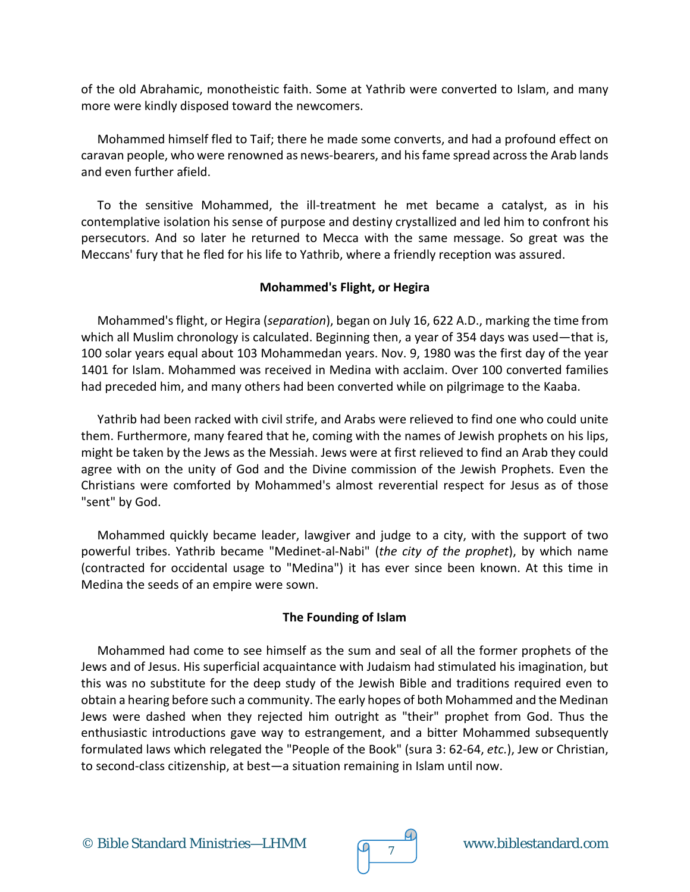of the old Abrahamic, monotheistic faith. Some at Yathrib were converted to Islam, and many more were kindly disposed toward the newcomers.

Mohammed himself fled to Taif; there he made some converts, and had a profound effect on caravan people, who were renowned as news-bearers, and his fame spread across the Arab lands and even further afield.

To the sensitive Mohammed, the ill-treatment he met became a catalyst, as in his contemplative isolation his sense of purpose and destiny crystallized and led him to confront his persecutors. And so later he returned to Mecca with the same message. So great was the Meccans' fury that he fled for his life to Yathrib, where a friendly reception was assured.

## **Mohammed's Flight, or Hegira**

Mohammed's flight, or Hegira (*separation*), began on July 16, 622 A.D., marking the time from which all Muslim chronology is calculated. Beginning then, a year of 354 days was used—that is, 100 solar years equal about 103 Mohammedan years. Nov. 9, 1980 was the first day of the year 1401 for Islam. Mohammed was received in Medina with acclaim. Over 100 converted families had preceded him, and many others had been converted while on pilgrimage to the Kaaba.

Yathrib had been racked with civil strife, and Arabs were relieved to find one who could unite them. Furthermore, many feared that he, coming with the names of Jewish prophets on his lips, might be taken by the Jews as the Messiah. Jews were at first relieved to find an Arab they could agree with on the unity of God and the Divine commission of the Jewish Prophets. Even the Christians were comforted by Mohammed's almost reverential respect for Jesus as of those "sent" by God.

Mohammed quickly became leader, lawgiver and judge to a city, with the support of two powerful tribes. Yathrib became "Medinet-al-Nabi" (*the city of the prophet*), by which name (contracted for occidental usage to "Medina") it has ever since been known. At this time in Medina the seeds of an empire were sown.

## **The Founding of Islam**

Mohammed had come to see himself as the sum and seal of all the former prophets of the Jews and of Jesus. His superficial acquaintance with Judaism had stimulated his imagination, but this was no substitute for the deep study of the Jewish Bible and traditions required even to obtain a hearing before such a community. The early hopes of both Mohammed and the Medinan Jews were dashed when they rejected him outright as "their" prophet from God. Thus the enthusiastic introductions gave way to estrangement, and a bitter Mohammed subsequently formulated laws which relegated the "People of the Book" (sura 3: 62-64, *etc.*), Jew or Christian, to second-class citizenship, at best—a situation remaining in Islam until now.

© Bible Standard Ministries—LHMM www.biblestandard.com <sup>7</sup>

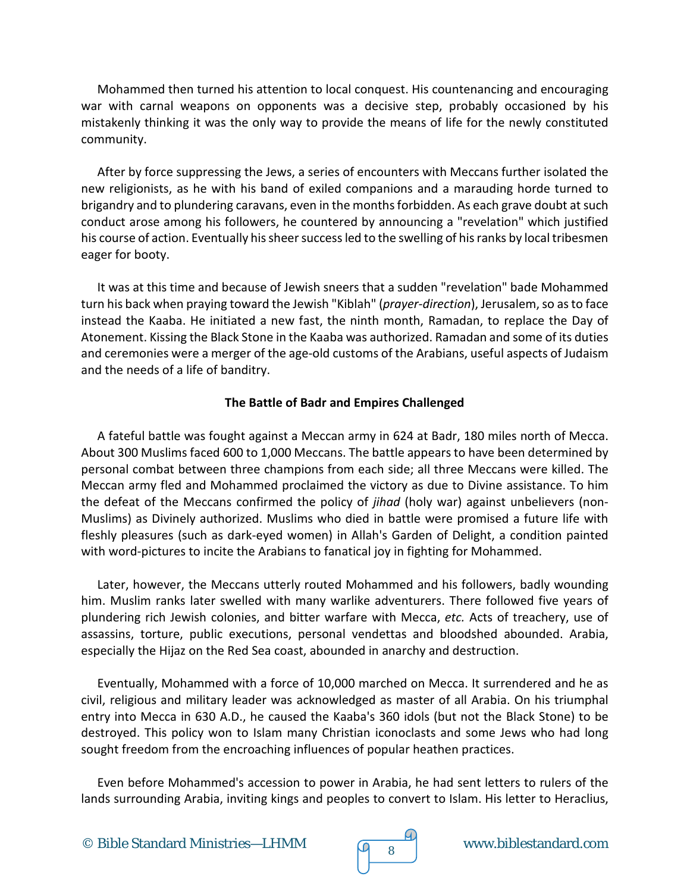Mohammed then turned his attention to local conquest. His countenancing and encouraging war with carnal weapons on opponents was a decisive step, probably occasioned by his mistakenly thinking it was the only way to provide the means of life for the newly constituted community.

After by force suppressing the Jews, a series of encounters with Meccans further isolated the new religionists, as he with his band of exiled companions and a marauding horde turned to brigandry and to plundering caravans, even in the months forbidden. As each grave doubt at such conduct arose among his followers, he countered by announcing a "revelation" which justified his course of action. Eventually his sheer success led to the swelling of his ranks by local tribesmen eager for booty.

It was at this time and because of Jewish sneers that a sudden "revelation" bade Mohammed turn his back when praying toward the Jewish "Kiblah" (*prayer-direction*), Jerusalem, so as to face instead the Kaaba. He initiated a new fast, the ninth month, Ramadan, to replace the Day of Atonement. Kissing the Black Stone in the Kaaba was authorized. Ramadan and some of its duties and ceremonies were a merger of the age-old customs of the Arabians, useful aspects of Judaism and the needs of a life of banditry.

## **The Battle of Badr and Empires Challenged**

A fateful battle was fought against a Meccan army in 624 at Badr, 180 miles north of Mecca. About 300 Muslims faced 600 to 1,000 Meccans. The battle appears to have been determined by personal combat between three champions from each side; all three Meccans were killed. The Meccan army fled and Mohammed proclaimed the victory as due to Divine assistance. To him the defeat of the Meccans confirmed the policy of *jihad* (holy war) against unbelievers (non-Muslims) as Divinely authorized. Muslims who died in battle were promised a future life with fleshly pleasures (such as dark-eyed women) in Allah's Garden of Delight, a condition painted with word-pictures to incite the Arabians to fanatical joy in fighting for Mohammed.

Later, however, the Meccans utterly routed Mohammed and his followers, badly wounding him. Muslim ranks later swelled with many warlike adventurers. There followed five years of plundering rich Jewish colonies, and bitter warfare with Mecca, *etc.* Acts of treachery, use of assassins, torture, public executions, personal vendettas and bloodshed abounded. Arabia, especially the Hijaz on the Red Sea coast, abounded in anarchy and destruction.

Eventually, Mohammed with a force of 10,000 marched on Mecca. It surrendered and he as civil, religious and military leader was acknowledged as master of all Arabia. On his triumphal entry into Mecca in 630 A.D., he caused the Kaaba's 360 idols (but not the Black Stone) to be destroyed. This policy won to Islam many Christian iconoclasts and some Jews who had long sought freedom from the encroaching influences of popular heathen practices.

Even before Mohammed's accession to power in Arabia, he had sent letters to rulers of the lands surrounding Arabia, inviting kings and peoples to convert to Islam. His letter to Heraclius,



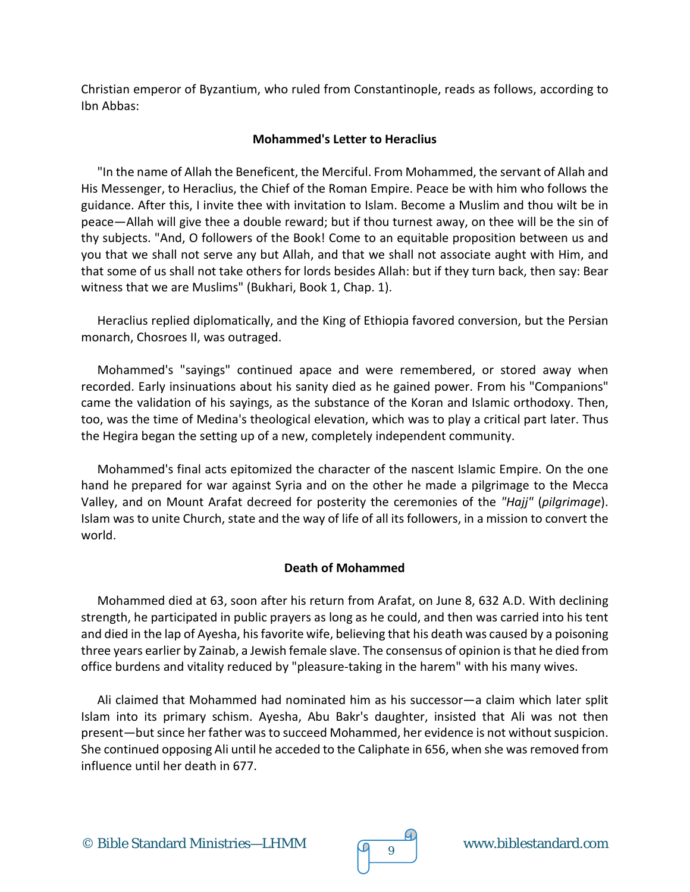Christian emperor of Byzantium, who ruled from Constantinople, reads as follows, according to Ibn Abbas:

## **Mohammed's Letter to Heraclius**

"In the name of Allah the Beneficent, the Merciful. From Mohammed, the servant of Allah and His Messenger, to Heraclius, the Chief of the Roman Empire. Peace be with him who follows the guidance. After this, I invite thee with invitation to Islam. Become a Muslim and thou wilt be in peace—Allah will give thee a double reward; but if thou turnest away, on thee will be the sin of thy subjects. "And, O followers of the Book! Come to an equitable proposition between us and you that we shall not serve any but Allah, and that we shall not associate aught with Him, and that some of us shall not take others for lords besides Allah: but if they turn back, then say: Bear witness that we are Muslims" (Bukhari, Book 1, Chap. 1).

Heraclius replied diplomatically, and the King of Ethiopia favored conversion, but the Persian monarch, Chosroes II, was outraged.

Mohammed's "sayings" continued apace and were remembered, or stored away when recorded. Early insinuations about his sanity died as he gained power. From his "Companions" came the validation of his sayings, as the substance of the Koran and Islamic orthodoxy. Then, too, was the time of Medina's theological elevation, which was to play a critical part later. Thus the Hegira began the setting up of a new, completely independent community.

Mohammed's final acts epitomized the character of the nascent Islamic Empire. On the one hand he prepared for war against Syria and on the other he made a pilgrimage to the Mecca Valley, and on Mount Arafat decreed for posterity the ceremonies of the *"Hajj"* (*pilgrimage*). Islam was to unite Church, state and the way of life of all its followers, in a mission to convert the world.

## **Death of Mohammed**

Mohammed died at 63, soon after his return from Arafat, on June 8, 632 A.D. With declining strength, he participated in public prayers as long as he could, and then was carried into his tent and died in the lap of Ayesha, his favorite wife, believing that his death was caused by a poisoning three years earlier by Zainab, a Jewish female slave. The consensus of opinion is that he died from office burdens and vitality reduced by "pleasure-taking in the harem" with his many wives.

Ali claimed that Mohammed had nominated him as his successor—a claim which later split Islam into its primary schism. Ayesha, Abu Bakr's daughter, insisted that Ali was not then present—but since her father was to succeed Mohammed, her evidence is not without suspicion. She continued opposing Ali until he acceded to the Caliphate in 656, when she was removed from influence until her death in 677.

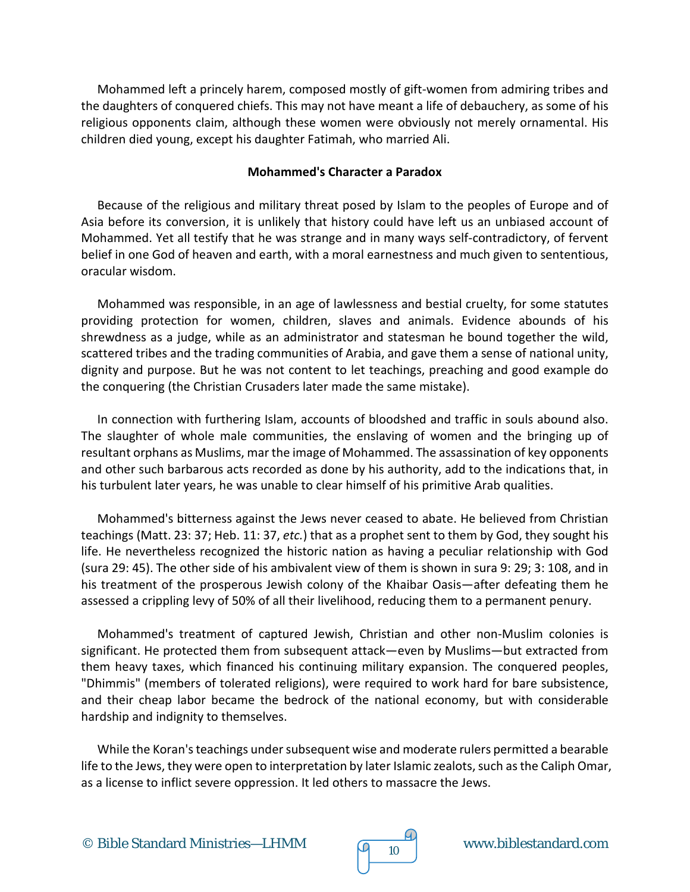Mohammed left a princely harem, composed mostly of gift-women from admiring tribes and the daughters of conquered chiefs. This may not have meant a life of debauchery, as some of his religious opponents claim, although these women were obviously not merely ornamental. His children died young, except his daughter Fatimah, who married Ali.

#### **Mohammed's Character a Paradox**

Because of the religious and military threat posed by Islam to the peoples of Europe and of Asia before its conversion, it is unlikely that history could have left us an unbiased account of Mohammed. Yet all testify that he was strange and in many ways self-contradictory, of fervent belief in one God of heaven and earth, with a moral earnestness and much given to sententious, oracular wisdom.

Mohammed was responsible, in an age of lawlessness and bestial cruelty, for some statutes providing protection for women, children, slaves and animals. Evidence abounds of his shrewdness as a judge, while as an administrator and statesman he bound together the wild, scattered tribes and the trading communities of Arabia, and gave them a sense of national unity, dignity and purpose. But he was not content to let teachings, preaching and good example do the conquering (the Christian Crusaders later made the same mistake).

In connection with furthering Islam, accounts of bloodshed and traffic in souls abound also. The slaughter of whole male communities, the enslaving of women and the bringing up of resultant orphans as Muslims, mar the image of Mohammed. The assassination of key opponents and other such barbarous acts recorded as done by his authority, add to the indications that, in his turbulent later years, he was unable to clear himself of his primitive Arab qualities.

Mohammed's bitterness against the Jews never ceased to abate. He believed from Christian teachings (Matt. 23: 37; Heb. 11: 37, *etc.*) that as a prophet sent to them by God, they sought his life. He nevertheless recognized the historic nation as having a peculiar relationship with God (sura 29: 45). The other side of his ambivalent view of them is shown in sura 9: 29; 3: 108, and in his treatment of the prosperous Jewish colony of the Khaibar Oasis—after defeating them he assessed a crippling levy of 50% of all their livelihood, reducing them to a permanent penury.

Mohammed's treatment of captured Jewish, Christian and other non-Muslim colonies is significant. He protected them from subsequent attack—even by Muslims—but extracted from them heavy taxes, which financed his continuing military expansion. The conquered peoples, "Dhimmis" (members of tolerated religions), were required to work hard for bare subsistence, and their cheap labor became the bedrock of the national economy, but with considerable hardship and indignity to themselves.

While the Koran's teachings under subsequent wise and moderate rulers permitted a bearable life to the Jews, they were open to interpretation by later Islamic zealots, such as the Caliph Omar, as a license to inflict severe oppression. It led others to massacre the Jews.



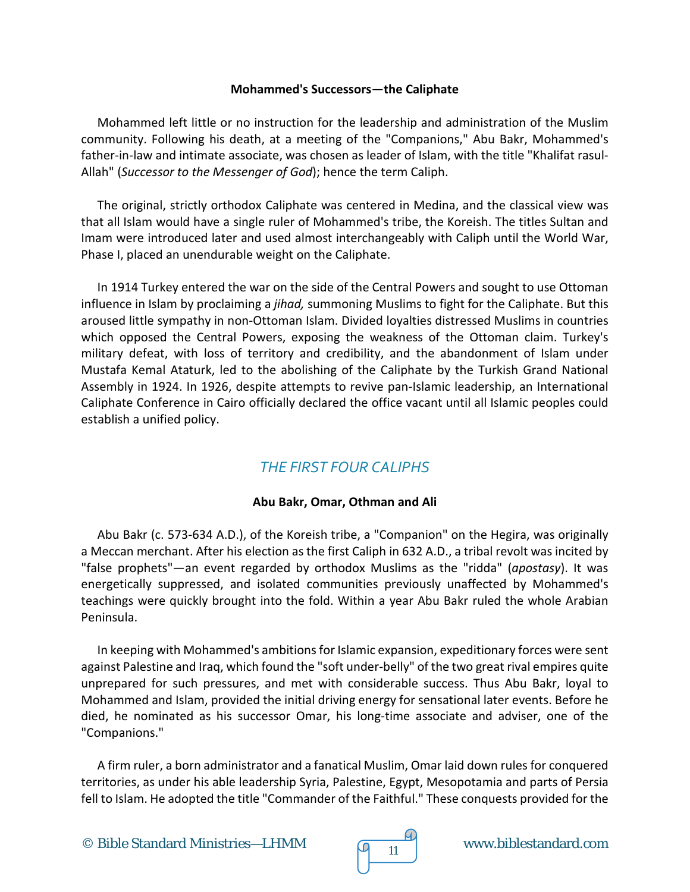## **Mohammed's Successors**—**the Caliphate**

Mohammed left little or no instruction for the leadership and administration of the Muslim community. Following his death, at a meeting of the "Companions," Abu Bakr, Mohammed's father-in-law and intimate associate, was chosen as leader of Islam, with the title "Khalifat rasul-Allah" (*Successor to the Messenger of God*); hence the term Caliph.

The original, strictly orthodox Caliphate was centered in Medina, and the classical view was that all Islam would have a single ruler of Mohammed's tribe, the Koreish. The titles Sultan and Imam were introduced later and used almost interchangeably with Caliph until the World War, Phase I, placed an unendurable weight on the Caliphate.

In 1914 Turkey entered the war on the side of the Central Powers and sought to use Ottoman influence in Islam by proclaiming a *jihad,* summoning Muslims to fight for the Caliphate. But this aroused little sympathy in non-Ottoman Islam. Divided loyalties distressed Muslims in countries which opposed the Central Powers, exposing the weakness of the Ottoman claim. Turkey's military defeat, with loss of territory and credibility, and the abandonment of Islam under Mustafa Kemal Ataturk, led to the abolishing of the Caliphate by the Turkish Grand National Assembly in 1924. In 1926, despite attempts to revive pan-Islamic leadership, an International Caliphate Conference in Cairo officially declared the office vacant until all Islamic peoples could establish a unified policy.

## *THE FIRST FOUR CALIPHS*

## **Abu Bakr, Omar, Othman and Ali**

Abu Bakr (c. 573-634 A.D.), of the Koreish tribe, a "Companion" on the Hegira, was originally a Meccan merchant. After his election as the first Caliph in 632 A.D., a tribal revolt was incited by "false prophets"—an event regarded by orthodox Muslims as the "ridda" (*apostasy*). It was energetically suppressed, and isolated communities previously unaffected by Mohammed's teachings were quickly brought into the fold. Within a year Abu Bakr ruled the whole Arabian Peninsula.

In keeping with Mohammed's ambitions for Islamic expansion, expeditionary forces were sent against Palestine and Iraq, which found the "soft under-belly" of the two great rival empires quite unprepared for such pressures, and met with considerable success. Thus Abu Bakr, loyal to Mohammed and Islam, provided the initial driving energy for sensational later events. Before he died, he nominated as his successor Omar, his long-time associate and adviser, one of the "Companions."

A firm ruler, a born administrator and a fanatical Muslim, Omar laid down rules for conquered territories, as under his able leadership Syria, Palestine, Egypt, Mesopotamia and parts of Persia fell to Islam. He adopted the title "Commander of the Faithful." These conquests provided for the

© Bible Standard Ministries—LHMM  $\sqrt{9}$  11 www.biblestandard.com

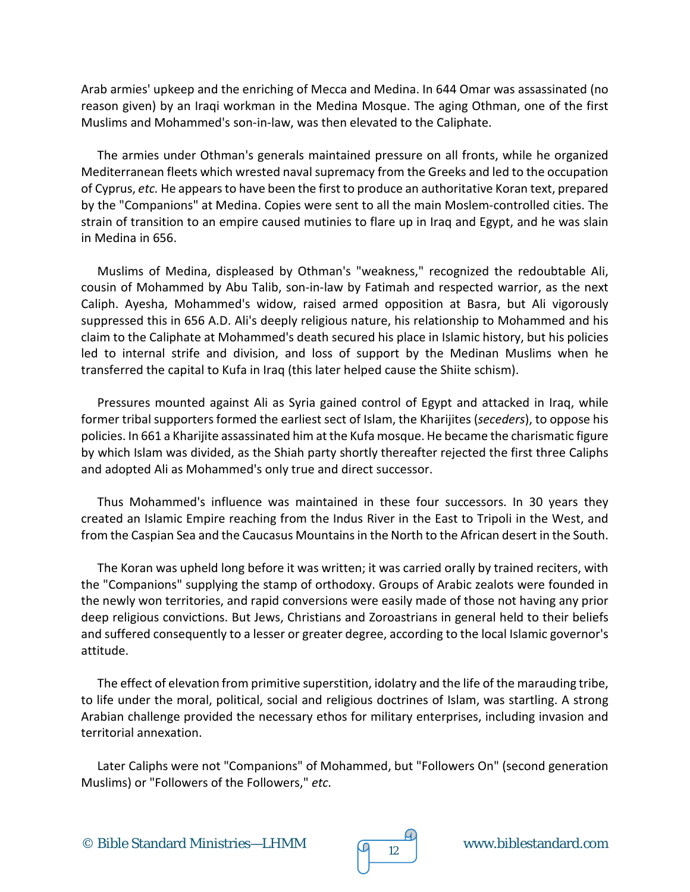Arab armies' upkeep and the enriching of Mecca and Medina. In 644 Omar was assassinated (no reason given) by an Iraqi workman in the Medina Mosque. The aging Othman, one of the first Muslims and Mohammed's son-in-law, was then elevated to the Caliphate.

The armies under Othman's generals maintained pressure on all fronts, while he organized Mediterranean fleets which wrested naval supremacy from the Greeks and led to the occupation of Cyprus, *etc.* He appears to have been the first to produce an authoritative Koran text, prepared by the "Companions" at Medina. Copies were sent to all the main Moslem-controlled cities. The strain of transition to an empire caused mutinies to flare up in Iraq and Egypt, and he was slain in Medina in 656.

Muslims of Medina, displeased by Othman's "weakness," recognized the redoubtable Ali, cousin of Mohammed by Abu Talib, son-in-law by Fatimah and respected warrior, as the next Caliph. Ayesha, Mohammed's widow, raised armed opposition at Basra, but Ali vigorously suppressed this in 656 A.D. Ali's deeply religious nature, his relationship to Mohammed and his claim to the Caliphate at Mohammed's death secured his place in Islamic history, but his policies led to internal strife and division, and loss of support by the Medinan Muslims when he transferred the capital to Kufa in Iraq (this later helped cause the Shiite schism).

Pressures mounted against Ali as Syria gained control of Egypt and attacked in Iraq, while former tribal supporters formed the earliest sect of Islam, the Kharijites (*seceders*), to oppose his policies. In 661 a Kharijite assassinated him at the Kufa mosque. He became the charismatic figure by which Islam was divided, as the Shiah party shortly thereafter rejected the first three Caliphs and adopted Ali as Mohammed's only true and direct successor.

Thus Mohammed's influence was maintained in these four successors. In 30 years they created an Islamic Empire reaching from the Indus River in the East to Tripoli in the West, and from the Caspian Sea and the Caucasus Mountains in the North to the African desert in the South.

The Koran was upheld long before it was written; it was carried orally by trained reciters, with the "Companions" supplying the stamp of orthodoxy. Groups of Arabic zealots were founded in the newly won territories, and rapid conversions were easily made of those not having any prior deep religious convictions. But Jews, Christians and Zoroastrians in general held to their beliefs and suffered consequently to a lesser or greater degree, according to the local Islamic governor's attitude.

The effect of elevation from primitive superstition, idolatry and the life of the marauding tribe, to life under the moral, political, social and religious doctrines of Islam, was startling. A strong Arabian challenge provided the necessary ethos for military enterprises, including invasion and territorial annexation.

Later Caliphs were not "Companions" of Mohammed, but "Followers On" (second generation Muslims) or "Followers of the Followers," *etc.*

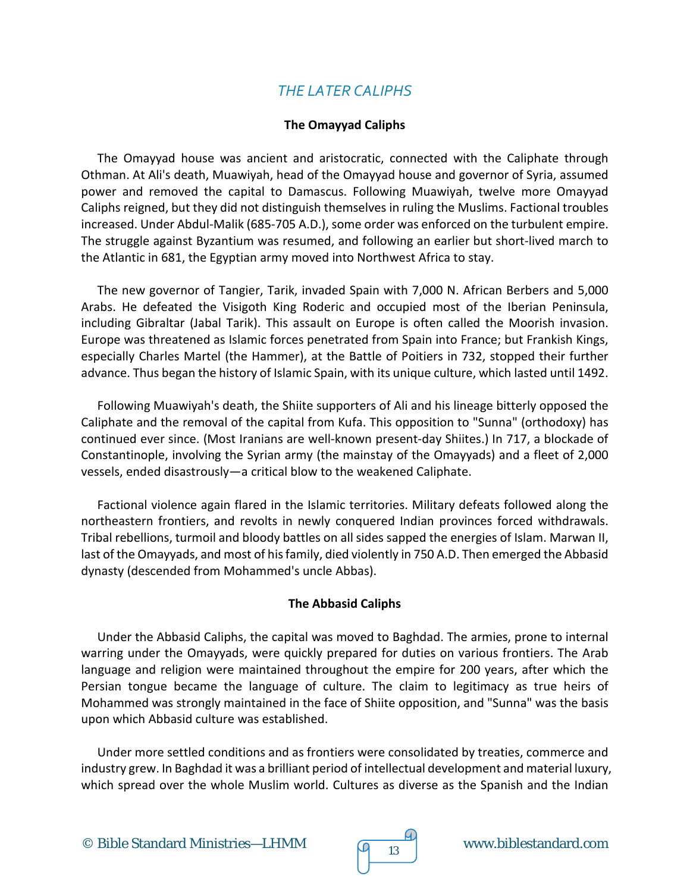## *THE LATER CALIPHS*

## **The Omayyad Caliphs**

The Omayyad house was ancient and aristocratic, connected with the Caliphate through Othman. At Ali's death, Muawiyah, head of the Omayyad house and governor of Syria, assumed power and removed the capital to Damascus. Following Muawiyah, twelve more Omayyad Caliphs reigned, but they did not distinguish themselves in ruling the Muslims. Factional troubles increased. Under Abdul-Malik (685-705 A.D.), some order was enforced on the turbulent empire. The struggle against Byzantium was resumed, and following an earlier but short-lived march to the Atlantic in 681, the Egyptian army moved into Northwest Africa to stay.

The new governor of Tangier, Tarik, invaded Spain with 7,000 N. African Berbers and 5,000 Arabs. He defeated the Visigoth King Roderic and occupied most of the Iberian Peninsula, including Gibraltar (Jabal Tarik). This assault on Europe is often called the Moorish invasion. Europe was threatened as Islamic forces penetrated from Spain into France; but Frankish Kings, especially Charles Martel (the Hammer), at the Battle of Poitiers in 732, stopped their further advance. Thus began the history of Islamic Spain, with its unique culture, which lasted until 1492.

Following Muawiyah's death, the Shiite supporters of Ali and his lineage bitterly opposed the Caliphate and the removal of the capital from Kufa. This opposition to "Sunna" (orthodoxy) has continued ever since. (Most Iranians are well-known present-day Shiites.) In 717, a blockade of Constantinople, involving the Syrian army (the mainstay of the Omayyads) and a fleet of 2,000 vessels, ended disastrously—a critical blow to the weakened Caliphate.

Factional violence again flared in the Islamic territories. Military defeats followed along the northeastern frontiers, and revolts in newly conquered Indian provinces forced withdrawals. Tribal rebellions, turmoil and bloody battles on all sides sapped the energies of Islam. Marwan II, last of the Omayyads, and most of his family, died violently in 750 A.D. Then emerged the Abbasid dynasty (descended from Mohammed's uncle Abbas).

## **The Abbasid Caliphs**

Under the Abbasid Caliphs, the capital was moved to Baghdad. The armies, prone to internal warring under the Omayyads, were quickly prepared for duties on various frontiers. The Arab language and religion were maintained throughout the empire for 200 years, after which the Persian tongue became the language of culture. The claim to legitimacy as true heirs of Mohammed was strongly maintained in the face of Shiite opposition, and "Sunna" was the basis upon which Abbasid culture was established.

Under more settled conditions and as frontiers were consolidated by treaties, commerce and industry grew. In Baghdad it was a brilliant period of intellectual development and material luxury, which spread over the whole Muslim world. Cultures as diverse as the Spanish and the Indian

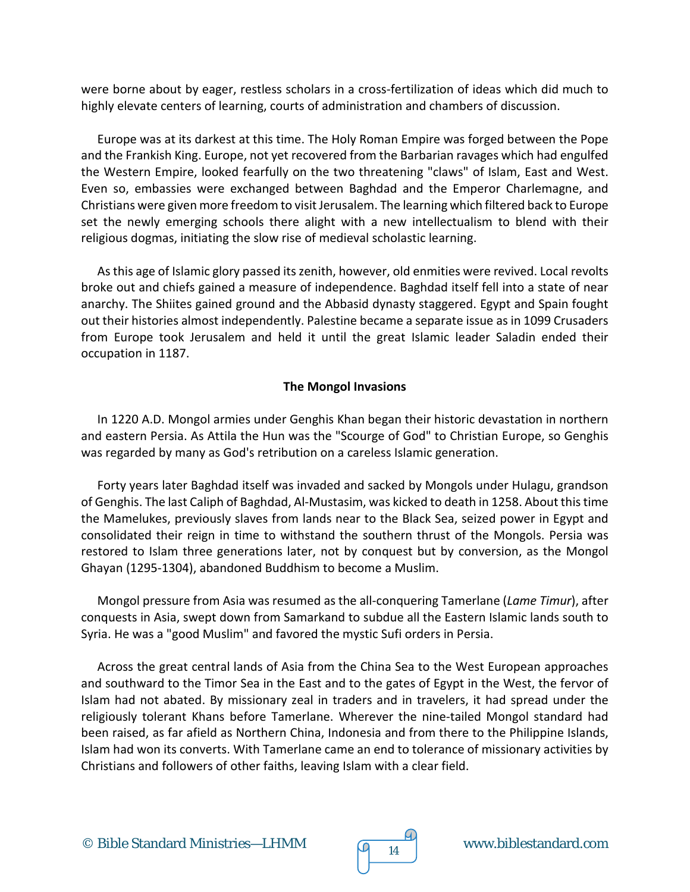were borne about by eager, restless scholars in a cross-fertilization of ideas which did much to highly elevate centers of learning, courts of administration and chambers of discussion.

Europe was at its darkest at this time. The Holy Roman Empire was forged between the Pope and the Frankish King. Europe, not yet recovered from the Barbarian ravages which had engulfed the Western Empire, looked fearfully on the two threatening "claws" of Islam, East and West. Even so, embassies were exchanged between Baghdad and the Emperor Charlemagne, and Christians were given more freedom to visit Jerusalem. The learning which filtered back to Europe set the newly emerging schools there alight with a new intellectualism to blend with their religious dogmas, initiating the slow rise of medieval scholastic learning.

As this age of Islamic glory passed its zenith, however, old enmities were revived. Local revolts broke out and chiefs gained a measure of independence. Baghdad itself fell into a state of near anarchy. The Shiites gained ground and the Abbasid dynasty staggered. Egypt and Spain fought out their histories almost independently. Palestine became a separate issue as in 1099 Crusaders from Europe took Jerusalem and held it until the great Islamic leader Saladin ended their occupation in 1187.

## **The Mongol Invasions**

In 1220 A.D. Mongol armies under Genghis Khan began their historic devastation in northern and eastern Persia. As Attila the Hun was the "Scourge of God" to Christian Europe, so Genghis was regarded by many as God's retribution on a careless Islamic generation.

Forty years later Baghdad itself was invaded and sacked by Mongols under Hulagu, grandson of Genghis. The last Caliph of Baghdad, Al-Mustasim, was kicked to death in 1258. About this time the Mamelukes, previously slaves from lands near to the Black Sea, seized power in Egypt and consolidated their reign in time to withstand the southern thrust of the Mongols. Persia was restored to Islam three generations later, not by conquest but by conversion, as the Mongol Ghayan (1295-1304), abandoned Buddhism to become a Muslim.

Mongol pressure from Asia was resumed as the all-conquering Tamerlane (*Lame Timur*), after conquests in Asia, swept down from Samarkand to subdue all the Eastern Islamic lands south to Syria. He was a "good Muslim" and favored the mystic Sufi orders in Persia.

Across the great central lands of Asia from the China Sea to the West European approaches and southward to the Timor Sea in the East and to the gates of Egypt in the West, the fervor of Islam had not abated. By missionary zeal in traders and in travelers, it had spread under the religiously tolerant Khans before Tamerlane. Wherever the nine-tailed Mongol standard had been raised, as far afield as Northern China, Indonesia and from there to the Philippine Islands, Islam had won its converts. With Tamerlane came an end to tolerance of missionary activities by Christians and followers of other faiths, leaving Islam with a clear field.

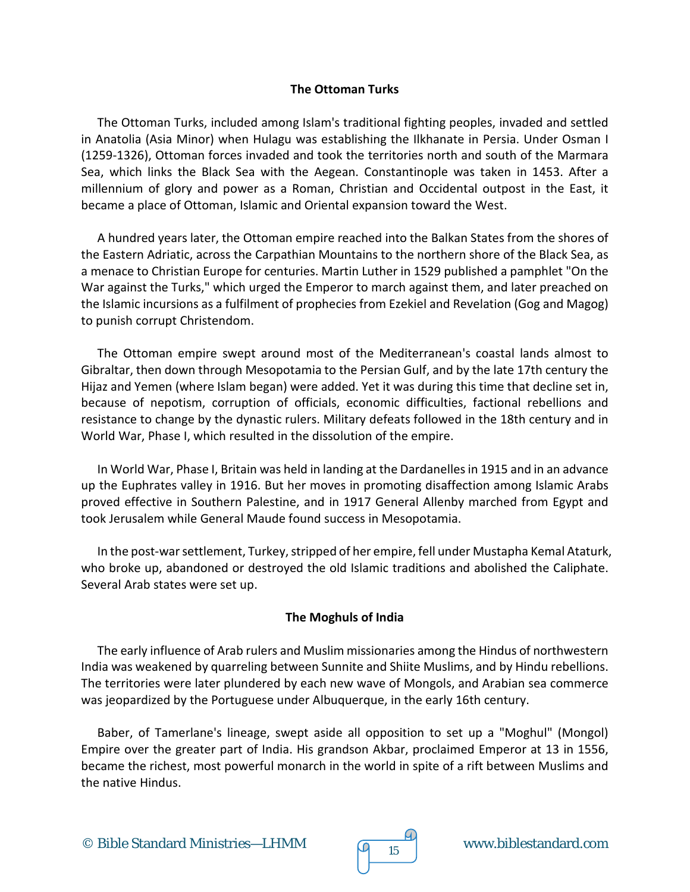## **The Ottoman Turks**

The Ottoman Turks, included among Islam's traditional fighting peoples, invaded and settled in Anatolia (Asia Minor) when Hulagu was establishing the Ilkhanate in Persia. Under Osman I (1259-1326), Ottoman forces invaded and took the territories north and south of the Marmara Sea, which links the Black Sea with the Aegean. Constantinople was taken in 1453. After a millennium of glory and power as a Roman, Christian and Occidental outpost in the East, it became a place of Ottoman, Islamic and Oriental expansion toward the West.

A hundred years later, the Ottoman empire reached into the Balkan States from the shores of the Eastern Adriatic, across the Carpathian Mountains to the northern shore of the Black Sea, as a menace to Christian Europe for centuries. Martin Luther in 1529 published a pamphlet "On the War against the Turks," which urged the Emperor to march against them, and later preached on the Islamic incursions as a fulfilment of prophecies from Ezekiel and Revelation (Gog and Magog) to punish corrupt Christendom.

The Ottoman empire swept around most of the Mediterranean's coastal lands almost to Gibraltar, then down through Mesopotamia to the Persian Gulf, and by the late 17th century the Hijaz and Yemen (where Islam began) were added. Yet it was during this time that decline set in, because of nepotism, corruption of officials, economic difficulties, factional rebellions and resistance to change by the dynastic rulers. Military defeats followed in the 18th century and in World War, Phase I, which resulted in the dissolution of the empire.

In World War, Phase I, Britain was held in landing at the Dardanelles in 1915 and in an advance up the Euphrates valley in 1916. But her moves in promoting disaffection among Islamic Arabs proved effective in Southern Palestine, and in 1917 General Allenby marched from Egypt and took Jerusalem while General Maude found success in Mesopotamia.

In the post-war settlement, Turkey, stripped of her empire, fell under Mustapha Kemal Ataturk, who broke up, abandoned or destroyed the old Islamic traditions and abolished the Caliphate. Several Arab states were set up.

## **The Moghuls of India**

The early influence of Arab rulers and Muslim missionaries among the Hindus of northwestern India was weakened by quarreling between Sunnite and Shiite Muslims, and by Hindu rebellions. The territories were later plundered by each new wave of Mongols, and Arabian sea commerce was jeopardized by the Portuguese under Albuquerque, in the early 16th century.

Baber, of Tamerlane's lineage, swept aside all opposition to set up a "Moghul" (Mongol) Empire over the greater part of India. His grandson Akbar, proclaimed Emperor at 13 in 1556, became the richest, most powerful monarch in the world in spite of a rift between Muslims and the native Hindus.

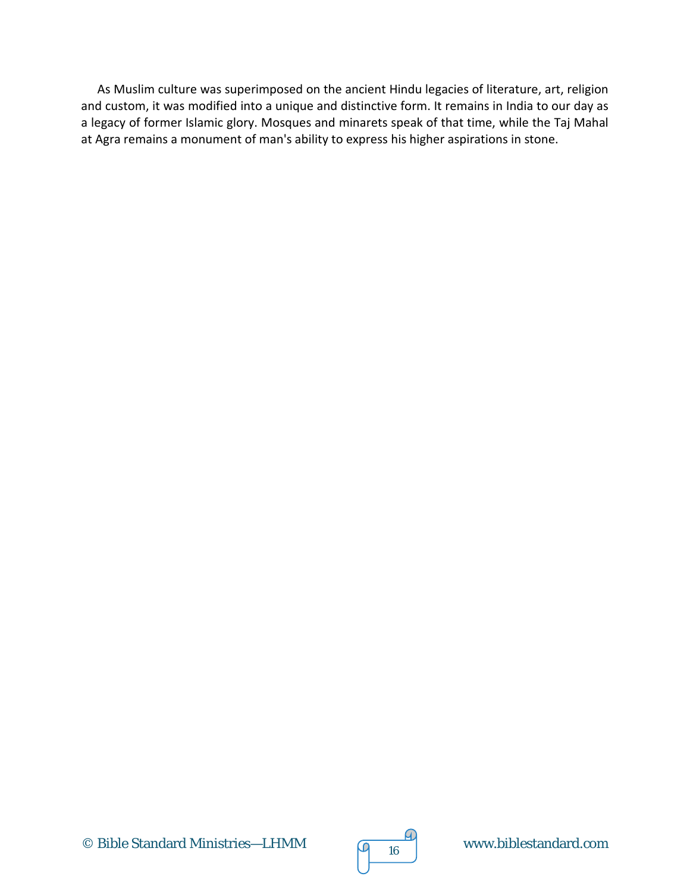As Muslim culture was superimposed on the ancient Hindu legacies of literature, art, religion and custom, it was modified into a unique and distinctive form. It remains in India to our day as a legacy of former Islamic glory. Mosques and minarets speak of that time, while the Taj Mahal at Agra remains a monument of man's ability to express his higher aspirations in stone.



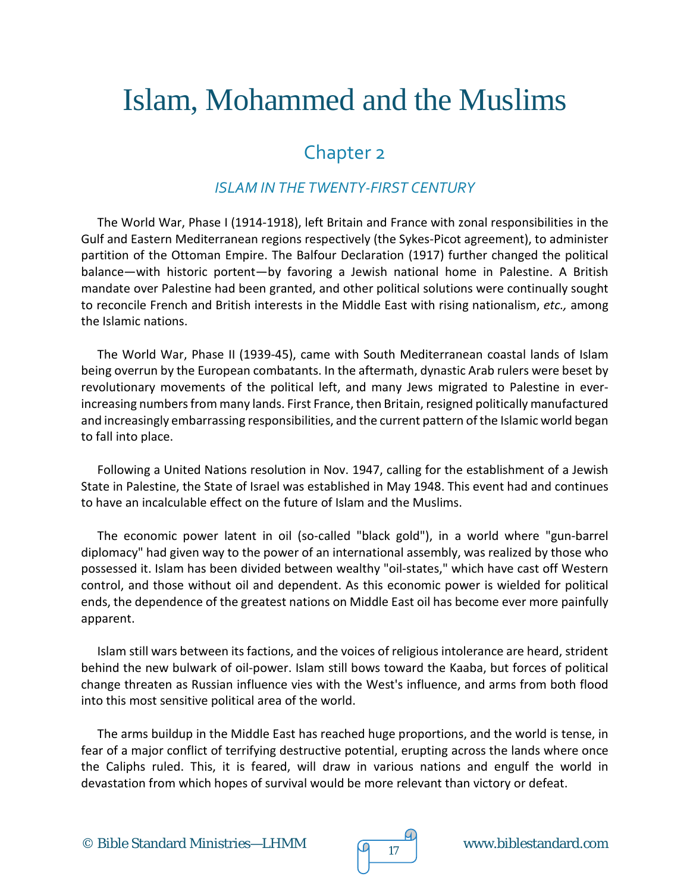# Islam, Mohammed and the Muslims

## Chapter 2

## *ISLAM IN THE TWENTY-FIRST CENTURY*

The World War, Phase I (1914-1918), left Britain and France with zonal responsibilities in the Gulf and Eastern Mediterranean regions respectively (the Sykes-Picot agreement), to administer partition of the Ottoman Empire. The Balfour Declaration (1917) further changed the political balance—with historic portent—by favoring a Jewish national home in Palestine. A British mandate over Palestine had been granted, and other political solutions were continually sought to reconcile French and British interests in the Middle East with rising nationalism, *etc.,* among the Islamic nations.

The World War, Phase II (1939-45), came with South Mediterranean coastal lands of Islam being overrun by the European combatants. In the aftermath, dynastic Arab rulers were beset by revolutionary movements of the political left, and many Jews migrated to Palestine in everincreasing numbers from many lands. First France, then Britain, resigned politically manufactured and increasingly embarrassing responsibilities, and the current pattern of the Islamic world began to fall into place.

Following a United Nations resolution in Nov. 1947, calling for the establishment of a Jewish State in Palestine, the State of Israel was established in May 1948. This event had and continues to have an incalculable effect on the future of Islam and the Muslims.

The economic power latent in oil (so-called "black gold"), in a world where "gun-barrel diplomacy" had given way to the power of an international assembly, was realized by those who possessed it. Islam has been divided between wealthy "oil-states," which have cast off Western control, and those without oil and dependent. As this economic power is wielded for political ends, the dependence of the greatest nations on Middle East oil has become ever more painfully apparent.

Islam still wars between its factions, and the voices of religious intolerance are heard, strident behind the new bulwark of oil-power. Islam still bows toward the Kaaba, but forces of political change threaten as Russian influence vies with the West's influence, and arms from both flood into this most sensitive political area of the world.

The arms buildup in the Middle East has reached huge proportions, and the world is tense, in fear of a major conflict of terrifying destructive potential, erupting across the lands where once the Caliphs ruled. This, it is feared, will draw in various nations and engulf the world in devastation from which hopes of survival would be more relevant than victory or defeat.

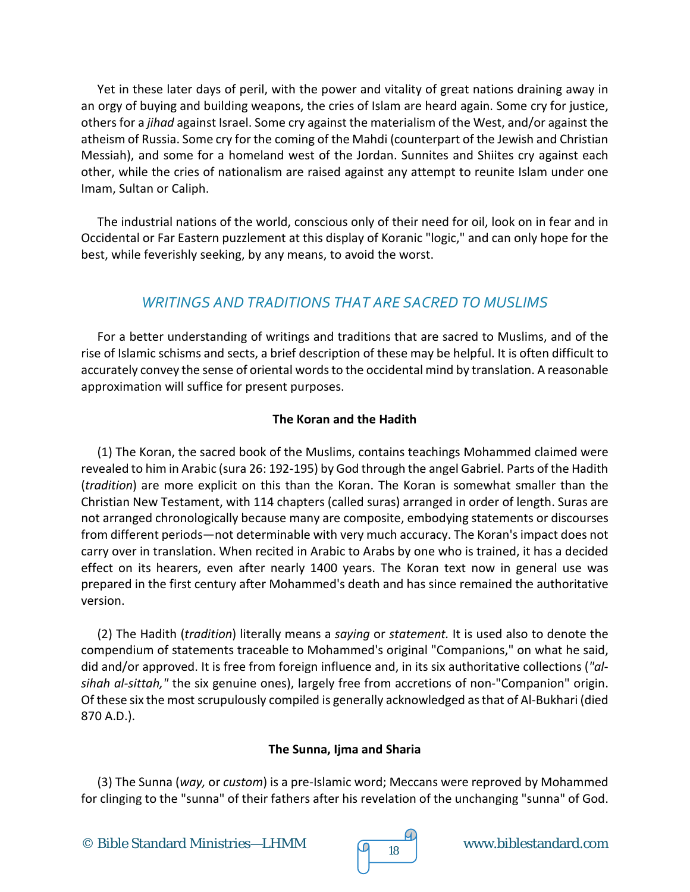Yet in these later days of peril, with the power and vitality of great nations draining away in an orgy of buying and building weapons, the cries of Islam are heard again. Some cry for justice, others for a *jihad* against Israel. Some cry against the materialism of the West, and/or against the atheism of Russia. Some cry for the coming of the Mahdi (counterpart of the Jewish and Christian Messiah), and some for a homeland west of the Jordan. Sunnites and Shiites cry against each other, while the cries of nationalism are raised against any attempt to reunite Islam under one Imam, Sultan or Caliph.

The industrial nations of the world, conscious only of their need for oil, look on in fear and in Occidental or Far Eastern puzzlement at this display of Koranic "logic," and can only hope for the best, while feverishly seeking, by any means, to avoid the worst.

## *WRITINGS AND TRADITIONS THAT ARE SACRED TO MUSLIMS*

For a better understanding of writings and traditions that are sacred to Muslims, and of the rise of Islamic schisms and sects, a brief description of these may be helpful. It is often difficult to accurately convey the sense of oriental words to the occidental mind by translation. A reasonable approximation will suffice for present purposes.

## **The Koran and the Hadith**

(1) The Koran, the sacred book of the Muslims, contains teachings Mohammed claimed were revealed to him in Arabic (sura 26: 192-195) by God through the angel Gabriel. Parts of the Hadith (*tradition*) are more explicit on this than the Koran. The Koran is somewhat smaller than the Christian New Testament, with 114 chapters (called suras) arranged in order of length. Suras are not arranged chronologically because many are composite, embodying statements or discourses from different periods—not determinable with very much accuracy. The Koran's impact does not carry over in translation. When recited in Arabic to Arabs by one who is trained, it has a decided effect on its hearers, even after nearly 1400 years. The Koran text now in general use was prepared in the first century after Mohammed's death and has since remained the authoritative version.

(2) The Hadith (*tradition*) literally means a *saying* or *statement.* It is used also to denote the compendium of statements traceable to Mohammed's original "Companions," on what he said, did and/or approved. It is free from foreign influence and, in its six authoritative collections (*"alsihah al-sittah,"* the six genuine ones), largely free from accretions of non-"Companion" origin. Of these six the most scrupulously compiled is generally acknowledged as that of Al-Bukhari (died 870 A.D.).

## **The Sunna, Ijma and Sharia**

(3) The Sunna (*way,* or *custom*) is a pre-Islamic word; Meccans were reproved by Mohammed for clinging to the "sunna" of their fathers after his revelation of the unchanging "sunna" of God.

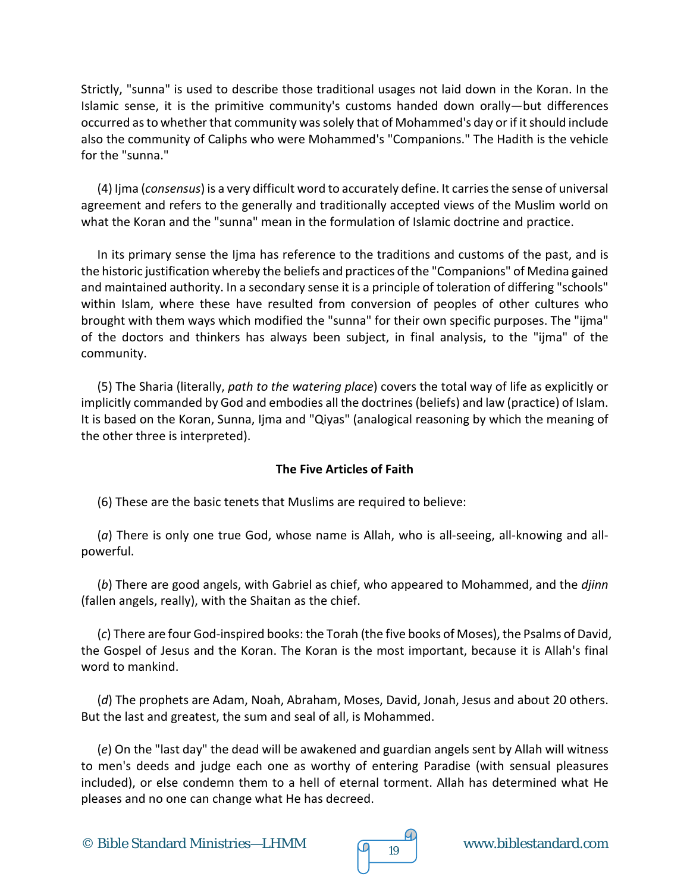Strictly, "sunna" is used to describe those traditional usages not laid down in the Koran. In the Islamic sense, it is the primitive community's customs handed down orally—but differences occurred as to whether that community was solely that of Mohammed's day or if it should include also the community of Caliphs who were Mohammed's "Companions." The Hadith is the vehicle for the "sunna."

(4) Ijma (*consensus*) is a very difficult word to accurately define. It carries the sense of universal agreement and refers to the generally and traditionally accepted views of the Muslim world on what the Koran and the "sunna" mean in the formulation of Islamic doctrine and practice.

In its primary sense the Ijma has reference to the traditions and customs of the past, and is the historic justification whereby the beliefs and practices of the "Companions" of Medina gained and maintained authority. In a secondary sense it is a principle of toleration of differing "schools" within Islam, where these have resulted from conversion of peoples of other cultures who brought with them ways which modified the "sunna" for their own specific purposes. The "ijma" of the doctors and thinkers has always been subject, in final analysis, to the "ijma" of the community.

(5) The Sharia (literally, *path to the watering place*) covers the total way of life as explicitly or implicitly commanded by God and embodies all the doctrines (beliefs) and law (practice) of Islam. It is based on the Koran, Sunna, Ijma and "Qiyas" (analogical reasoning by which the meaning of the other three is interpreted).

## **The Five Articles of Faith**

(6) These are the basic tenets that Muslims are required to believe:

(*a*) There is only one true God, whose name is Allah, who is all-seeing, all-knowing and allpowerful.

(*b*) There are good angels, with Gabriel as chief, who appeared to Mohammed, and the *djinn* (fallen angels, really), with the Shaitan as the chief.

(*c*) There are four God-inspired books: the Torah (the five books of Moses), the Psalms of David, the Gospel of Jesus and the Koran. The Koran is the most important, because it is Allah's final word to mankind.

(*d*) The prophets are Adam, Noah, Abraham, Moses, David, Jonah, Jesus and about 20 others. But the last and greatest, the sum and seal of all, is Mohammed.

(*e*) On the "last day" the dead will be awakened and guardian angels sent by Allah will witness to men's deeds and judge each one as worthy of entering Paradise (with sensual pleasures included), or else condemn them to a hell of eternal torment. Allah has determined what He pleases and no one can change what He has decreed.

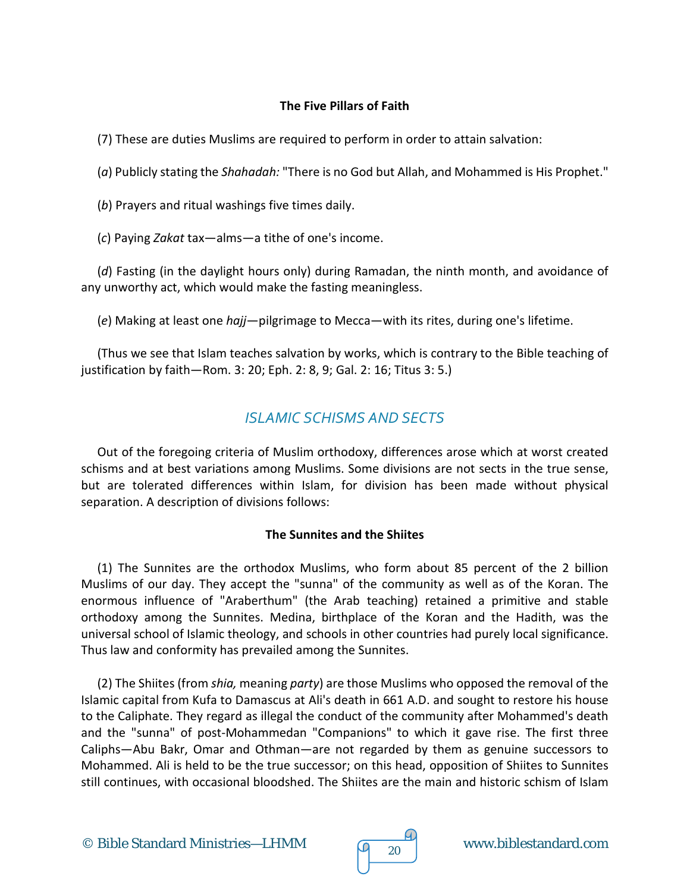## **The Five Pillars of Faith**

(7) These are duties Muslims are required to perform in order to attain salvation:

(*a*) Publicly stating the *Shahadah:* "There is no God but Allah, and Mohammed is His Prophet."

(*b*) Prayers and ritual washings five times daily.

(*c*) Paying *Zakat* tax—alms—a tithe of one's income.

(*d*) Fasting (in the daylight hours only) during Ramadan, the ninth month, and avoidance of any unworthy act, which would make the fasting meaningless.

(*e*) Making at least one *hajj*—pilgrimage to Mecca—with its rites, during one's lifetime.

(Thus we see that Islam teaches salvation by works, which is contrary to the Bible teaching of justification by faith—Rom. 3: 20; Eph. 2: 8, 9; Gal. 2: 16; Titus 3: 5.)

## *ISLAMIC SCHISMS AND SECTS*

Out of the foregoing criteria of Muslim orthodoxy, differences arose which at worst created schisms and at best variations among Muslims. Some divisions are not sects in the true sense, but are tolerated differences within Islam, for division has been made without physical separation. A description of divisions follows:

## **The Sunnites and the Shiites**

(1) The Sunnites are the orthodox Muslims, who form about 85 percent of the 2 billion Muslims of our day. They accept the "sunna" of the community as well as of the Koran. The enormous influence of "Araberthum" (the Arab teaching) retained a primitive and stable orthodoxy among the Sunnites. Medina, birthplace of the Koran and the Hadith, was the universal school of Islamic theology, and schools in other countries had purely local significance. Thus law and conformity has prevailed among the Sunnites.

(2) The Shiites (from *shia,* meaning *party*) are those Muslims who opposed the removal of the Islamic capital from Kufa to Damascus at Ali's death in 661 A.D. and sought to restore his house to the Caliphate. They regard as illegal the conduct of the community after Mohammed's death and the "sunna" of post-Mohammedan "Companions" to which it gave rise. The first three Caliphs—Abu Bakr, Omar and Othman—are not regarded by them as genuine successors to Mohammed. Ali is held to be the true successor; on this head, opposition of Shiites to Sunnites still continues, with occasional bloodshed. The Shiites are the main and historic schism of Islam

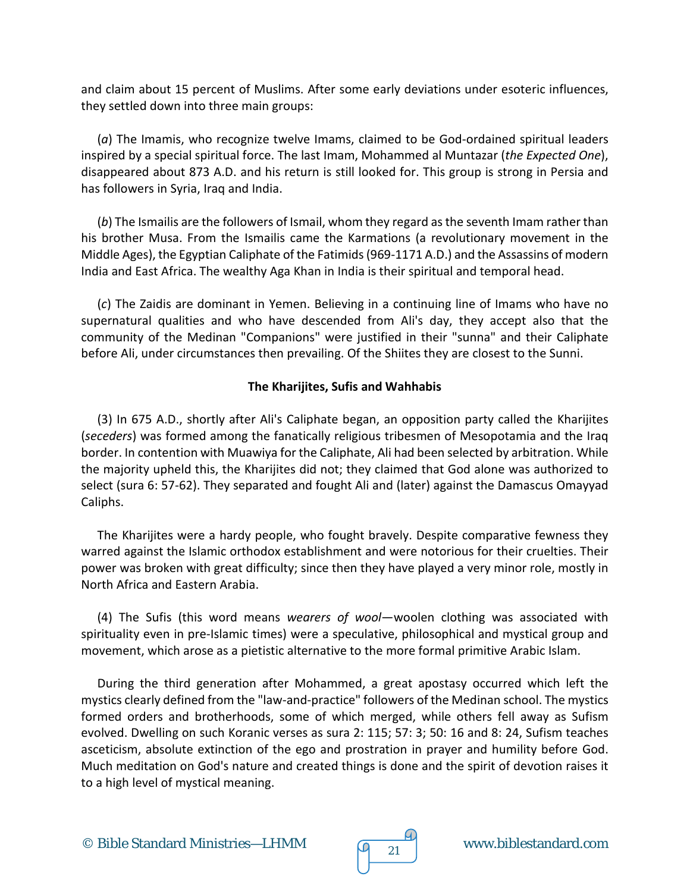and claim about 15 percent of Muslims. After some early deviations under esoteric influences, they settled down into three main groups:

(*a*) The Imamis, who recognize twelve Imams, claimed to be God-ordained spiritual leaders inspired by a special spiritual force. The last Imam, Mohammed al Muntazar (*the Expected One*), disappeared about 873 A.D. and his return is still looked for. This group is strong in Persia and has followers in Syria, Iraq and India.

(*b*) The Ismailis are the followers of Ismail, whom they regard as the seventh Imam rather than his brother Musa. From the Ismailis came the Karmations (a revolutionary movement in the Middle Ages), the Egyptian Caliphate of the Fatimids (969-1171 A.D.) and the Assassins of modern India and East Africa. The wealthy Aga Khan in India is their spiritual and temporal head.

(*c*) The Zaidis are dominant in Yemen. Believing in a continuing line of Imams who have no supernatural qualities and who have descended from Ali's day, they accept also that the community of the Medinan "Companions" were justified in their "sunna" and their Caliphate before Ali, under circumstances then prevailing. Of the Shiites they are closest to the Sunni.

## **The Kharijites, Sufis and Wahhabis**

(3) In 675 A.D., shortly after Ali's Caliphate began, an opposition party called the Kharijites (*seceders*) was formed among the fanatically religious tribesmen of Mesopotamia and the Iraq border. In contention with Muawiya for the Caliphate, Ali had been selected by arbitration. While the majority upheld this, the Kharijites did not; they claimed that God alone was authorized to select (sura 6: 57-62). They separated and fought Ali and (later) against the Damascus Omayyad Caliphs.

The Kharijites were a hardy people, who fought bravely. Despite comparative fewness they warred against the Islamic orthodox establishment and were notorious for their cruelties. Their power was broken with great difficulty; since then they have played a very minor role, mostly in North Africa and Eastern Arabia.

(4) The Sufis (this word means *wearers of wool*—woolen clothing was associated with spirituality even in pre-Islamic times) were a speculative, philosophical and mystical group and movement, which arose as a pietistic alternative to the more formal primitive Arabic Islam.

During the third generation after Mohammed, a great apostasy occurred which left the mystics clearly defined from the "law-and-practice" followers of the Medinan school. The mystics formed orders and brotherhoods, some of which merged, while others fell away as Sufism evolved. Dwelling on such Koranic verses as sura 2: 115; 57: 3; 50: 16 and 8: 24, Sufism teaches asceticism, absolute extinction of the ego and prostration in prayer and humility before God. Much meditation on God's nature and created things is done and the spirit of devotion raises it to a high level of mystical meaning.

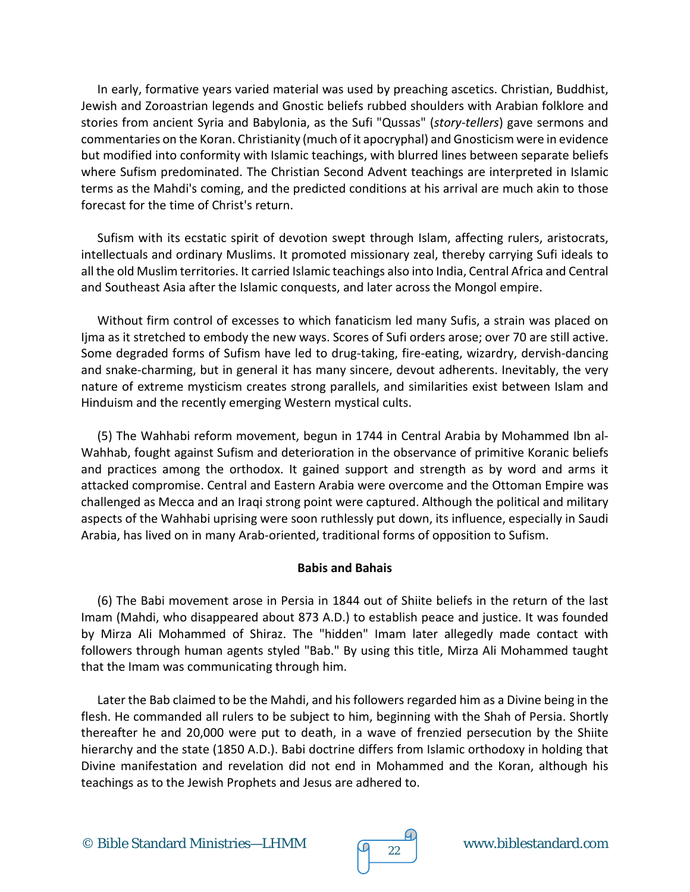In early, formative years varied material was used by preaching ascetics. Christian, Buddhist, Jewish and Zoroastrian legends and Gnostic beliefs rubbed shoulders with Arabian folklore and stories from ancient Syria and Babylonia, as the Sufi "Qussas" (*story-tellers*) gave sermons and commentaries on the Koran. Christianity (much of it apocryphal) and Gnosticism were in evidence but modified into conformity with Islamic teachings, with blurred lines between separate beliefs where Sufism predominated. The Christian Second Advent teachings are interpreted in Islamic terms as the Mahdi's coming, and the predicted conditions at his arrival are much akin to those forecast for the time of Christ's return.

Sufism with its ecstatic spirit of devotion swept through Islam, affecting rulers, aristocrats, intellectuals and ordinary Muslims. It promoted missionary zeal, thereby carrying Sufi ideals to all the old Muslim territories. It carried Islamic teachings also into India, Central Africa and Central and Southeast Asia after the Islamic conquests, and later across the Mongol empire.

Without firm control of excesses to which fanaticism led many Sufis, a strain was placed on Ijma as it stretched to embody the new ways. Scores of Sufi orders arose; over 70 are still active. Some degraded forms of Sufism have led to drug-taking, fire-eating, wizardry, dervish-dancing and snake-charming, but in general it has many sincere, devout adherents. Inevitably, the very nature of extreme mysticism creates strong parallels, and similarities exist between Islam and Hinduism and the recently emerging Western mystical cults.

(5) The Wahhabi reform movement, begun in 1744 in Central Arabia by Mohammed Ibn al-Wahhab, fought against Sufism and deterioration in the observance of primitive Koranic beliefs and practices among the orthodox. It gained support and strength as by word and arms it attacked compromise. Central and Eastern Arabia were overcome and the Ottoman Empire was challenged as Mecca and an Iraqi strong point were captured. Although the political and military aspects of the Wahhabi uprising were soon ruthlessly put down, its influence, especially in Saudi Arabia, has lived on in many Arab-oriented, traditional forms of opposition to Sufism.

## **Babis and Bahais**

(6) The Babi movement arose in Persia in 1844 out of Shiite beliefs in the return of the last Imam (Mahdi, who disappeared about 873 A.D.) to establish peace and justice. It was founded by Mirza Ali Mohammed of Shiraz. The "hidden" Imam later allegedly made contact with followers through human agents styled "Bab." By using this title, Mirza Ali Mohammed taught that the Imam was communicating through him.

Later the Bab claimed to be the Mahdi, and his followers regarded him as a Divine being in the flesh. He commanded all rulers to be subject to him, beginning with the Shah of Persia. Shortly thereafter he and 20,000 were put to death, in a wave of frenzied persecution by the Shiite hierarchy and the state (1850 A.D.). Babi doctrine differs from Islamic orthodoxy in holding that Divine manifestation and revelation did not end in Mohammed and the Koran, although his teachings as to the Jewish Prophets and Jesus are adhered to.



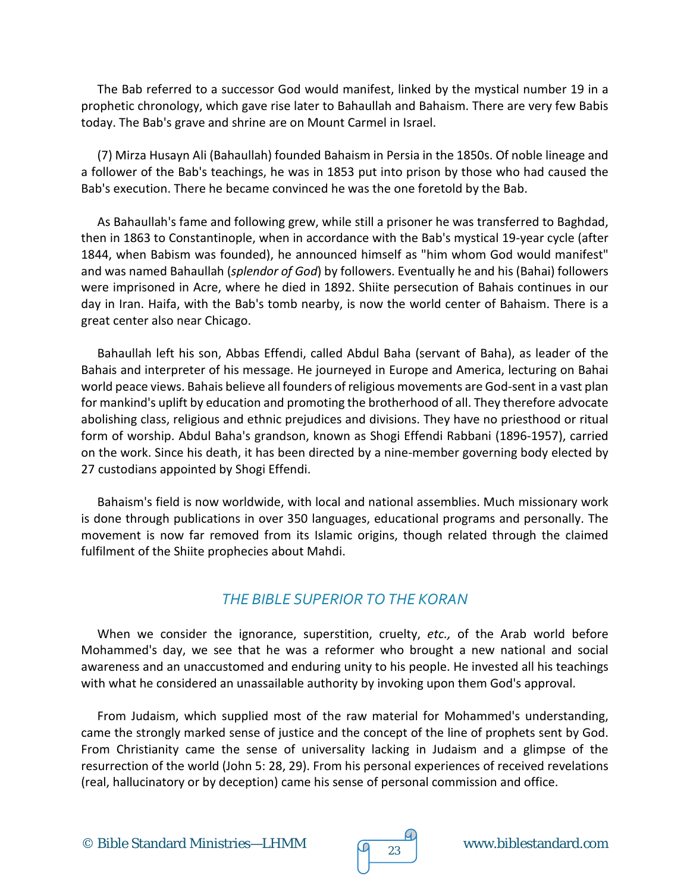The Bab referred to a successor God would manifest, linked by the mystical number 19 in a prophetic chronology, which gave rise later to Bahaullah and Bahaism. There are very few Babis today. The Bab's grave and shrine are on Mount Carmel in Israel.

(7) Mirza Husayn Ali (Bahaullah) founded Bahaism in Persia in the 1850s. Of noble lineage and a follower of the Bab's teachings, he was in 1853 put into prison by those who had caused the Bab's execution. There he became convinced he was the one foretold by the Bab.

As Bahaullah's fame and following grew, while still a prisoner he was transferred to Baghdad, then in 1863 to Constantinople, when in accordance with the Bab's mystical 19-year cycle (after 1844, when Babism was founded), he announced himself as "him whom God would manifest" and was named Bahaullah (*splendor of God*) by followers. Eventually he and his (Bahai) followers were imprisoned in Acre, where he died in 1892. Shiite persecution of Bahais continues in our day in Iran. Haifa, with the Bab's tomb nearby, is now the world center of Bahaism. There is a great center also near Chicago.

Bahaullah left his son, Abbas Effendi, called Abdul Baha (servant of Baha), as leader of the Bahais and interpreter of his message. He journeyed in Europe and America, lecturing on Bahai world peace views. Bahais believe all founders of religious movements are God-sent in a vast plan for mankind's uplift by education and promoting the brotherhood of all. They therefore advocate abolishing class, religious and ethnic prejudices and divisions. They have no priesthood or ritual form of worship. Abdul Baha's grandson, known as Shogi Effendi Rabbani (1896-1957), carried on the work. Since his death, it has been directed by a nine-member governing body elected by 27 custodians appointed by Shogi Effendi.

Bahaism's field is now worldwide, with local and national assemblies. Much missionary work is done through publications in over 350 languages, educational programs and personally. The movement is now far removed from its Islamic origins, though related through the claimed fulfilment of the Shiite prophecies about Mahdi.

## *THE BIBLE SUPERIOR TO THE KORAN*

When we consider the ignorance, superstition, cruelty, *etc.,* of the Arab world before Mohammed's day, we see that he was a reformer who brought a new national and social awareness and an unaccustomed and enduring unity to his people. He invested all his teachings with what he considered an unassailable authority by invoking upon them God's approval.

From Judaism, which supplied most of the raw material for Mohammed's understanding, came the strongly marked sense of justice and the concept of the line of prophets sent by God. From Christianity came the sense of universality lacking in Judaism and a glimpse of the resurrection of the world (John 5: 28, 29). From his personal experiences of received revelations (real, hallucinatory or by deception) came his sense of personal commission and office.

© Bible Standard Ministries—LHMM  $\sqrt{q}$  23 www.biblestandard.com



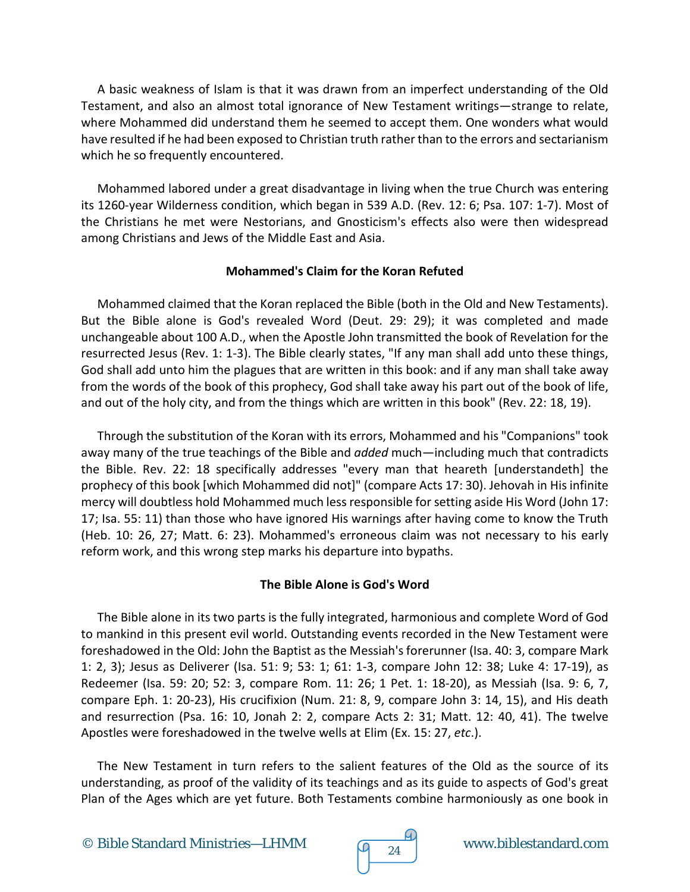A basic weakness of Islam is that it was drawn from an imperfect understanding of the Old Testament, and also an almost total ignorance of New Testament writings—strange to relate, where Mohammed did understand them he seemed to accept them. One wonders what would have resulted if he had been exposed to Christian truth rather than to the errors and sectarianism which he so frequently encountered.

Mohammed labored under a great disadvantage in living when the true Church was entering its 1260-year Wilderness condition, which began in 539 A.D. (Rev. 12: 6; Psa. 107: 1-7). Most of the Christians he met were Nestorians, and Gnosticism's effects also were then widespread among Christians and Jews of the Middle East and Asia.

## **Mohammed's Claim for the Koran Refuted**

Mohammed claimed that the Koran replaced the Bible (both in the Old and New Testaments). But the Bible alone is God's revealed Word (Deut. 29: 29); it was completed and made unchangeable about 100 A.D., when the Apostle John transmitted the book of Revelation for the resurrected Jesus (Rev. 1: 1-3). The Bible clearly states, "If any man shall add unto these things, God shall add unto him the plagues that are written in this book: and if any man shall take away from the words of the book of this prophecy, God shall take away his part out of the book of life, and out of the holy city, and from the things which are written in this book" (Rev. 22: 18, 19).

Through the substitution of the Koran with its errors, Mohammed and his "Companions" took away many of the true teachings of the Bible and *added* much—including much that contradicts the Bible. Rev. 22: 18 specifically addresses "every man that heareth [understandeth] the prophecy of this book [which Mohammed did not]" (compare Acts 17: 30). Jehovah in His infinite mercy will doubtless hold Mohammed much less responsible for setting aside His Word (John 17: 17; Isa. 55: 11) than those who have ignored His warnings after having come to know the Truth (Heb. 10: 26, 27; Matt. 6: 23). Mohammed's erroneous claim was not necessary to his early reform work, and this wrong step marks his departure into bypaths.

## **The Bible Alone is God's Word**

The Bible alone in its two parts is the fully integrated, harmonious and complete Word of God to mankind in this present evil world. Outstanding events recorded in the New Testament were foreshadowed in the Old: John the Baptist as the Messiah's forerunner (Isa. 40: 3, compare Mark 1: 2, 3); Jesus as Deliverer (Isa. 51: 9; 53: 1; 61: 1-3, compare John 12: 38; Luke 4: 17-19), as Redeemer (Isa. 59: 20; 52: 3, compare Rom. 11: 26; 1 Pet. 1: 18-20), as Messiah (Isa. 9: 6, 7, compare Eph. 1: 20-23), His crucifixion (Num. 21: 8, 9, compare John 3: 14, 15), and His death and resurrection (Psa. 16: 10, Jonah 2: 2, compare Acts 2: 31; Matt. 12: 40, 41). The twelve Apostles were foreshadowed in the twelve wells at Elim (Ex. 15: 27, *etc*.).

The New Testament in turn refers to the salient features of the Old as the source of its understanding, as proof of the validity of its teachings and as its guide to aspects of God's great Plan of the Ages which are yet future. Both Testaments combine harmoniously as one book in

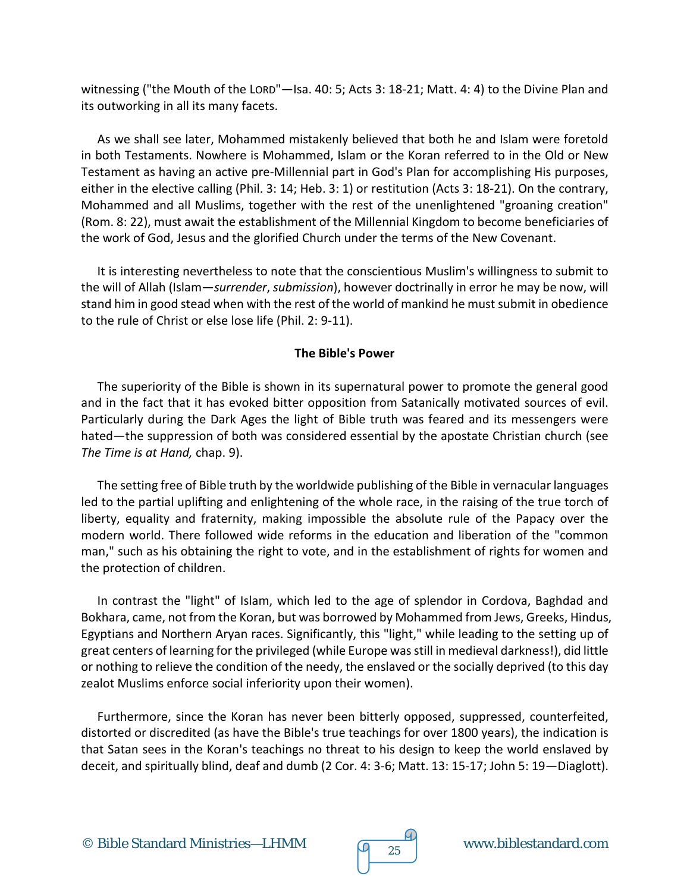witnessing ("the Mouth of the LORD"—Isa. 40: 5; Acts 3: 18-21; Matt. 4: 4) to the Divine Plan and its outworking in all its many facets.

As we shall see later, Mohammed mistakenly believed that both he and Islam were foretold in both Testaments. Nowhere is Mohammed, Islam or the Koran referred to in the Old or New Testament as having an active pre-Millennial part in God's Plan for accomplishing His purposes, either in the elective calling (Phil. 3: 14; Heb. 3: 1) or restitution (Acts 3: 18-21). On the contrary, Mohammed and all Muslims, together with the rest of the unenlightened "groaning creation" (Rom. 8: 22), must await the establishment of the Millennial Kingdom to become beneficiaries of the work of God, Jesus and the glorified Church under the terms of the New Covenant.

It is interesting nevertheless to note that the conscientious Muslim's willingness to submit to the will of Allah (Islam—*surrender*, *submission*), however doctrinally in error he may be now, will stand him in good stead when with the rest of the world of mankind he must submit in obedience to the rule of Christ or else lose life (Phil. 2: 9-11).

## **The Bible's Power**

The superiority of the Bible is shown in its supernatural power to promote the general good and in the fact that it has evoked bitter opposition from Satanically motivated sources of evil. Particularly during the Dark Ages the light of Bible truth was feared and its messengers were hated—the suppression of both was considered essential by the apostate Christian church (see *The Time is at Hand,* chap. 9).

The setting free of Bible truth by the worldwide publishing of the Bible in vernacular languages led to the partial uplifting and enlightening of the whole race, in the raising of the true torch of liberty, equality and fraternity, making impossible the absolute rule of the Papacy over the modern world. There followed wide reforms in the education and liberation of the "common man," such as his obtaining the right to vote, and in the establishment of rights for women and the protection of children.

In contrast the "light" of Islam, which led to the age of splendor in Cordova, Baghdad and Bokhara, came, not from the Koran, but was borrowed by Mohammed from Jews, Greeks, Hindus, Egyptians and Northern Aryan races. Significantly, this "light," while leading to the setting up of great centers of learning for the privileged (while Europe was still in medieval darkness!), did little or nothing to relieve the condition of the needy, the enslaved or the socially deprived (to this day zealot Muslims enforce social inferiority upon their women).

Furthermore, since the Koran has never been bitterly opposed, suppressed, counterfeited, distorted or discredited (as have the Bible's true teachings for over 1800 years), the indication is that Satan sees in the Koran's teachings no threat to his design to keep the world enslaved by deceit, and spiritually blind, deaf and dumb (2 Cor. 4: 3-6; Matt. 13: 15-17; John 5: 19—Diaglott).

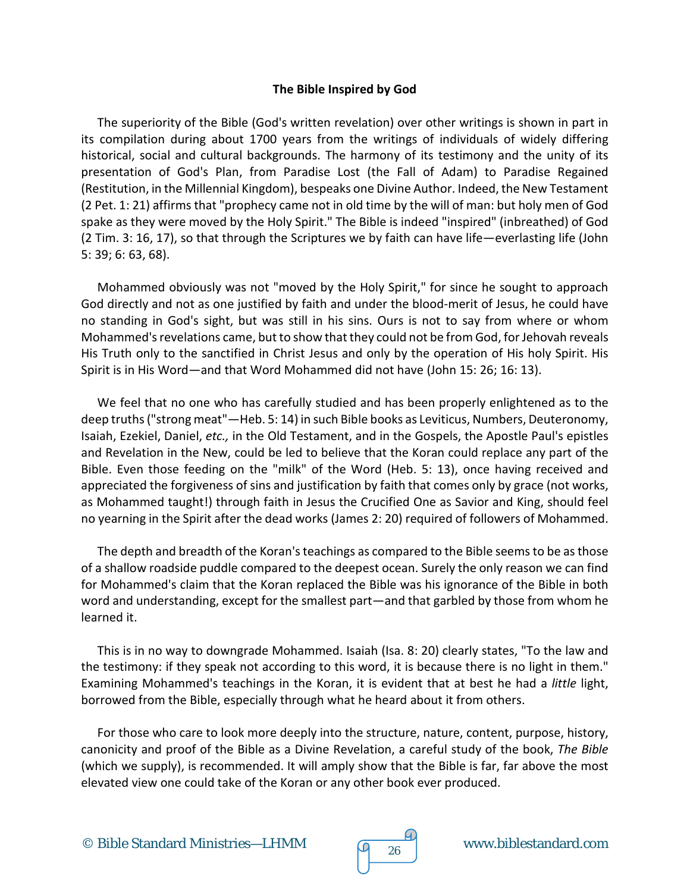#### **The Bible Inspired by God**

The superiority of the Bible (God's written revelation) over other writings is shown in part in its compilation during about 1700 years from the writings of individuals of widely differing historical, social and cultural backgrounds. The harmony of its testimony and the unity of its presentation of God's Plan, from Paradise Lost (the Fall of Adam) to Paradise Regained (Restitution, in the Millennial Kingdom), bespeaks one Divine Author. Indeed, the New Testament (2 Pet. 1: 21) affirms that "prophecy came not in old time by the will of man: but holy men of God spake as they were moved by the Holy Spirit." The Bible is indeed "inspired" (inbreathed) of God (2 Tim. 3: 16, 17), so that through the Scriptures we by faith can have life—everlasting life (John 5: 39; 6: 63, 68).

Mohammed obviously was not "moved by the Holy Spirit," for since he sought to approach God directly and not as one justified by faith and under the blood-merit of Jesus, he could have no standing in God's sight, but was still in his sins. Ours is not to say from where or whom Mohammed's revelations came, but to show that they could not be from God, for Jehovah reveals His Truth only to the sanctified in Christ Jesus and only by the operation of His holy Spirit. His Spirit is in His Word—and that Word Mohammed did not have (John 15: 26; 16: 13).

We feel that no one who has carefully studied and has been properly enlightened as to the deep truths ("strong meat"—Heb. 5: 14) in such Bible books as Leviticus, Numbers, Deuteronomy, Isaiah, Ezekiel, Daniel, *etc.,* in the Old Testament, and in the Gospels, the Apostle Paul's epistles and Revelation in the New, could be led to believe that the Koran could replace any part of the Bible. Even those feeding on the "milk" of the Word (Heb. 5: 13), once having received and appreciated the forgiveness of sins and justification by faith that comes only by grace (not works, as Mohammed taught!) through faith in Jesus the Crucified One as Savior and King, should feel no yearning in the Spirit after the dead works (James 2: 20) required of followers of Mohammed.

The depth and breadth of the Koran's teachings as compared to the Bible seems to be as those of a shallow roadside puddle compared to the deepest ocean. Surely the only reason we can find for Mohammed's claim that the Koran replaced the Bible was his ignorance of the Bible in both word and understanding, except for the smallest part—and that garbled by those from whom he learned it.

This is in no way to downgrade Mohammed. Isaiah (Isa. 8: 20) clearly states, "To the law and the testimony: if they speak not according to this word, it is because there is no light in them." Examining Mohammed's teachings in the Koran, it is evident that at best he had a *little* light, borrowed from the Bible, especially through what he heard about it from others.

For those who care to look more deeply into the structure, nature, content, purpose, history, canonicity and proof of the Bible as a Divine Revelation, a careful study of the book, *The Bible* (which we supply), is recommended. It will amply show that the Bible is far, far above the most elevated view one could take of the Koran or any other book ever produced.



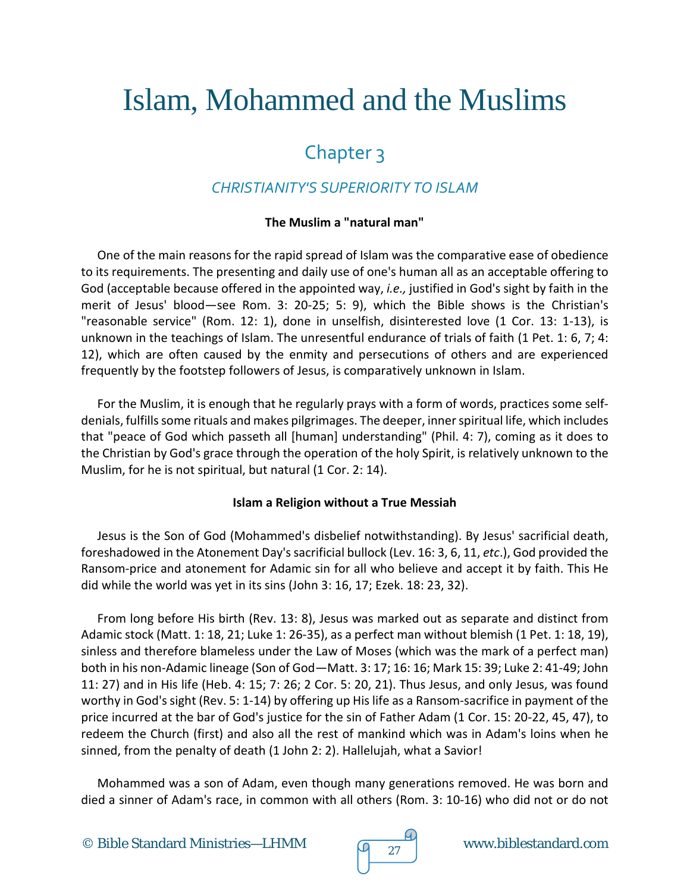# Islam, Mohammed and the Muslims

## Chapter 3

## *CHRISTIANITY'S SUPERIORITY TO ISLAM*

## **The Muslim a "natural man"**

One of the main reasons for the rapid spread of Islam was the comparative ease of obedience to its requirements. The presenting and daily use of one's human all as an acceptable offering to God (acceptable because offered in the appointed way, *i.e.,* justified in God's sight by faith in the merit of Jesus' blood—see Rom. 3: 20-25; 5: 9), which the Bible shows is the Christian's "reasonable service" (Rom. 12: 1), done in unselfish, disinterested love (1 Cor. 13: 1-13), is unknown in the teachings of Islam. The unresentful endurance of trials of faith (1 Pet. 1: 6, 7; 4: 12), which are often caused by the enmity and persecutions of others and are experienced frequently by the footstep followers of Jesus, is comparatively unknown in Islam.

For the Muslim, it is enough that he regularly prays with a form of words, practices some selfdenials, fulfills some rituals and makes pilgrimages. The deeper, inner spiritual life, which includes that "peace of God which passeth all [human] understanding" (Phil. 4: 7), coming as it does to the Christian by God's grace through the operation of the holy Spirit, is relatively unknown to the Muslim, for he is not spiritual, but natural (1 Cor. 2: 14).

## **Islam a Religion without a True Messiah**

Jesus is the Son of God (Mohammed's disbelief notwithstanding). By Jesus' sacrificial death, foreshadowed in the Atonement Day's sacrificial bullock (Lev. 16: 3, 6, 11, *etc*.), God provided the Ransom-price and atonement for Adamic sin for all who believe and accept it by faith. This He did while the world was yet in its sins (John 3: 16, 17; Ezek. 18: 23, 32).

From long before His birth (Rev. 13: 8), Jesus was marked out as separate and distinct from Adamic stock (Matt. 1: 18, 21; Luke 1: 26-35), as a perfect man without blemish (1 Pet. 1: 18, 19), sinless and therefore blameless under the Law of Moses (which was the mark of a perfect man) both in his non-Adamic lineage (Son of God—Matt. 3: 17; 16: 16; Mark 15: 39; Luke 2: 41-49; John 11: 27) and in His life (Heb. 4: 15; 7: 26; 2 Cor. 5: 20, 21). Thus Jesus, and only Jesus, was found worthy in God's sight (Rev. 5: 1-14) by offering up His life as a Ransom-sacrifice in payment of the price incurred at the bar of God's justice for the sin of Father Adam (1 Cor. 15: 20-22, 45, 47), to redeem the Church (first) and also all the rest of mankind which was in Adam's loins when he sinned, from the penalty of death (1 John 2: 2). Hallelujah, what a Savior!

Mohammed was a son of Adam, even though many generations removed. He was born and died a sinner of Adam's race, in common with all others (Rom. 3: 10-16) who did not or do not

© Bible Standard Ministries—LHMM  $\sqrt{q}$  27 www.biblestandard.com

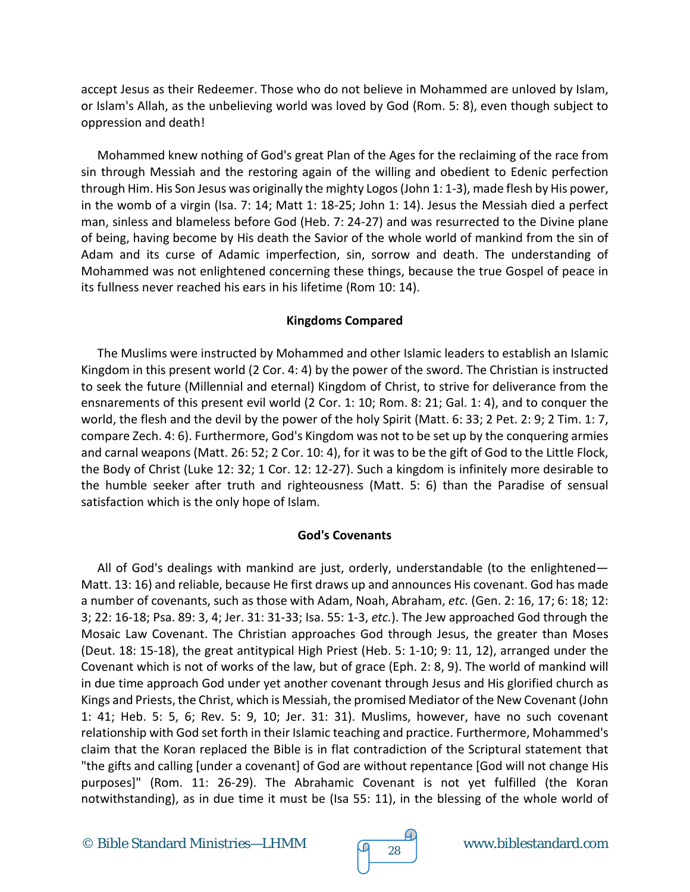accept Jesus as their Redeemer. Those who do not believe in Mohammed are unloved by Islam, or Islam's Allah, as the unbelieving world was loved by God (Rom. 5: 8), even though subject to oppression and death!

Mohammed knew nothing of God's great Plan of the Ages for the reclaiming of the race from sin through Messiah and the restoring again of the willing and obedient to Edenic perfection through Him. His Son Jesus was originally the mighty Logos (John 1: 1-3), made flesh by His power, in the womb of a virgin (Isa. 7: 14; Matt 1: 18-25; John 1: 14). Jesus the Messiah died a perfect man, sinless and blameless before God (Heb. 7: 24-27) and was resurrected to the Divine plane of being, having become by His death the Savior of the whole world of mankind from the sin of Adam and its curse of Adamic imperfection, sin, sorrow and death. The understanding of Mohammed was not enlightened concerning these things, because the true Gospel of peace in its fullness never reached his ears in his lifetime (Rom 10: 14).

## **Kingdoms Compared**

The Muslims were instructed by Mohammed and other Islamic leaders to establish an Islamic Kingdom in this present world (2 Cor. 4: 4) by the power of the sword. The Christian is instructed to seek the future (Millennial and eternal) Kingdom of Christ, to strive for deliverance from the ensnarements of this present evil world (2 Cor. 1: 10; Rom. 8: 21; Gal. 1: 4), and to conquer the world, the flesh and the devil by the power of the holy Spirit (Matt. 6: 33; 2 Pet. 2: 9; 2 Tim. 1: 7, compare Zech. 4: 6). Furthermore, God's Kingdom was not to be set up by the conquering armies and carnal weapons (Matt. 26: 52; 2 Cor. 10: 4), for it was to be the gift of God to the Little Flock, the Body of Christ (Luke 12: 32; 1 Cor. 12: 12-27). Such a kingdom is infinitely more desirable to the humble seeker after truth and righteousness (Matt. 5: 6) than the Paradise of sensual satisfaction which is the only hope of Islam.

## **God's Covenants**

All of God's dealings with mankind are just, orderly, understandable (to the enlightened— Matt. 13: 16) and reliable, because He first draws up and announces His covenant. God has made a number of covenants, such as those with Adam, Noah, Abraham, *etc.* (Gen. 2: 16, 17; 6: 18; 12: 3; 22: 16-18; Psa. 89: 3, 4; Jer. 31: 31-33; Isa. 55: 1-3, *etc.*). The Jew approached God through the Mosaic Law Covenant. The Christian approaches God through Jesus, the greater than Moses (Deut. 18: 15-18), the great antitypical High Priest (Heb. 5: 1-10; 9: 11, 12), arranged under the Covenant which is not of works of the law, but of grace (Eph. 2: 8, 9). The world of mankind will in due time approach God under yet another covenant through Jesus and His glorified church as Kings and Priests, the Christ, which is Messiah, the promised Mediator of the New Covenant (John 1: 41; Heb. 5: 5, 6; Rev. 5: 9, 10; Jer. 31: 31). Muslims, however, have no such covenant relationship with God set forth in their Islamic teaching and practice. Furthermore, Mohammed's claim that the Koran replaced the Bible is in flat contradiction of the Scriptural statement that "the gifts and calling [under a covenant] of God are without repentance [God will not change His purposes]" (Rom. 11: 26-29). The Abrahamic Covenant is not yet fulfilled (the Koran notwithstanding), as in due time it must be (Isa 55: 11), in the blessing of the whole world of

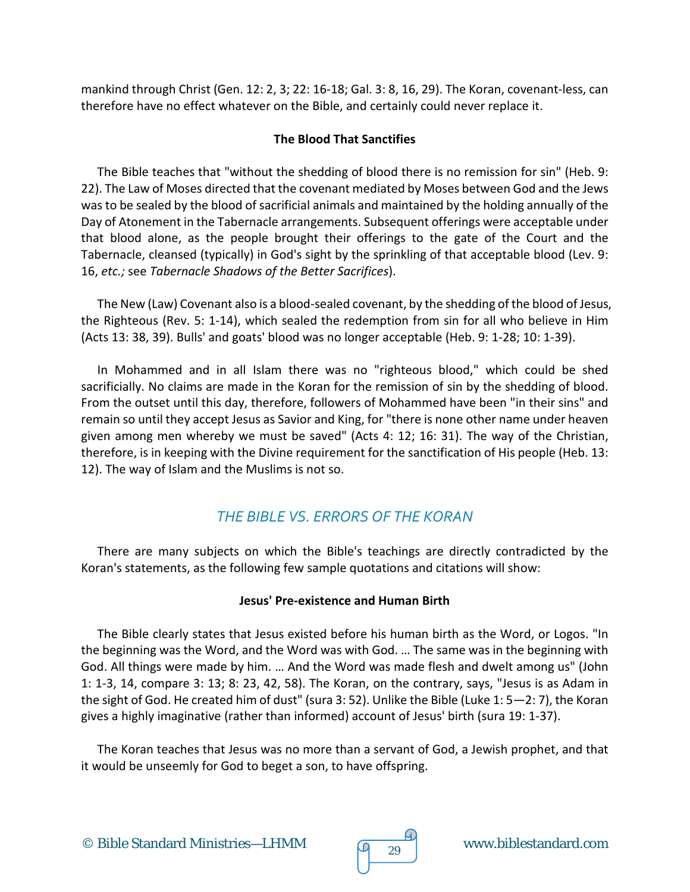mankind through Christ (Gen. 12: 2, 3; 22: 16-18; Gal. 3: 8, 16, 29). The Koran, covenant-less, can therefore have no effect whatever on the Bible, and certainly could never replace it.

## **The Blood That Sanctifies**

The Bible teaches that "without the shedding of blood there is no remission for sin" (Heb. 9: 22). The Law of Moses directed that the covenant mediated by Moses between God and the Jews was to be sealed by the blood of sacrificial animals and maintained by the holding annually of the Day of Atonement in the Tabernacle arrangements. Subsequent offerings were acceptable under that blood alone, as the people brought their offerings to the gate of the Court and the Tabernacle, cleansed (typically) in God's sight by the sprinkling of that acceptable blood (Lev. 9: 16, *etc.;* see *Tabernacle Shadows of the Better Sacrifices*).

The New (Law) Covenant also is a blood-sealed covenant, by the shedding of the blood of Jesus, the Righteous (Rev. 5: 1-14), which sealed the redemption from sin for all who believe in Him (Acts 13: 38, 39). Bulls' and goats' blood was no longer acceptable (Heb. 9: 1-28; 10: 1-39).

In Mohammed and in all Islam there was no "righteous blood," which could be shed sacrificially. No claims are made in the Koran for the remission of sin by the shedding of blood. From the outset until this day, therefore, followers of Mohammed have been "in their sins" and remain so until they accept Jesus as Savior and King, for "there is none other name under heaven given among men whereby we must be saved" (Acts 4: 12; 16: 31). The way of the Christian, therefore, is in keeping with the Divine requirement for the sanctification of His people (Heb. 13: 12). The way of Islam and the Muslims is not so.

## *THE BIBLE VS. ERRORS OF THE KORAN*

There are many subjects on which the Bible's teachings are directly contradicted by the Koran's statements, as the following few sample quotations and citations will show:

## **Jesus' Pre-existence and Human Birth**

The Bible clearly states that Jesus existed before his human birth as the Word, or Logos. "In the beginning was the Word, and the Word was with God. … The same was in the beginning with God. All things were made by him. … And the Word was made flesh and dwelt among us" (John 1: 1-3, 14, compare 3: 13; 8: 23, 42, 58). The Koran, on the contrary, says, "Jesus is as Adam in the sight of God. He created him of dust" (sura 3: 52). Unlike the Bible (Luke 1: 5—2: 7), the Koran gives a highly imaginative (rather than informed) account of Jesus' birth (sura 19: 1-37).

The Koran teaches that Jesus was no more than a servant of God, a Jewish prophet, and that it would be unseemly for God to beget a son, to have offspring.



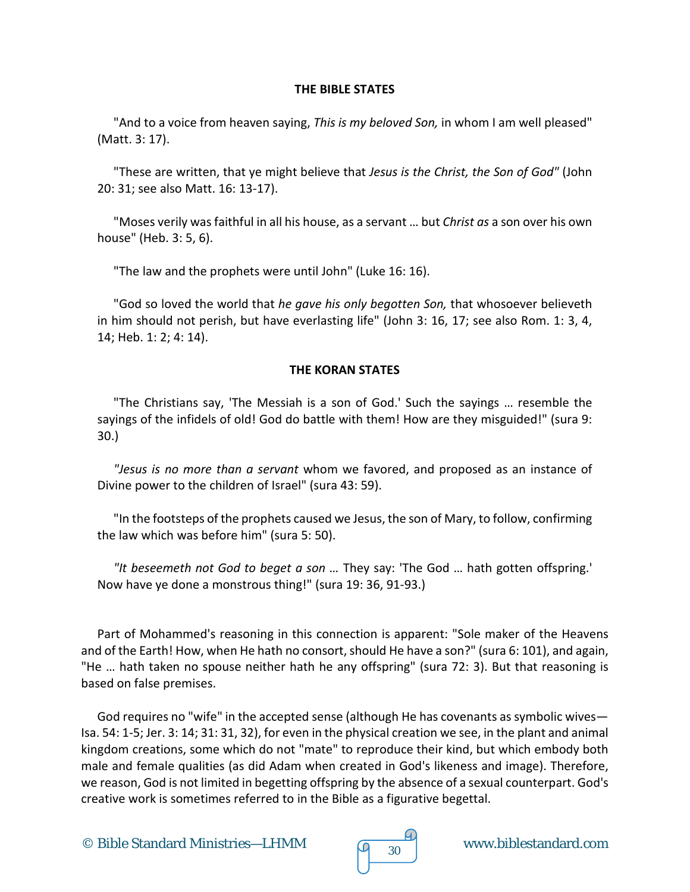#### **THE BIBLE STATES**

"And to a voice from heaven saying, *This is my beloved Son,* in whom I am well pleased" (Matt. 3: 17).

"These are written, that ye might believe that *Jesus is the Christ, the Son of God"* (John 20: 31; see also Matt. 16: 13-17).

"Moses verily was faithful in all his house, as a servant … but *Christ as* a son over his own house" (Heb. 3: 5, 6).

"The law and the prophets were until John" (Luke 16: 16).

"God so loved the world that *he gave his only begotten Son,* that whosoever believeth in him should not perish, but have everlasting life" (John 3: 16, 17; see also Rom. 1: 3, 4, 14; Heb. 1: 2; 4: 14).

## **THE KORAN STATES**

"The Christians say, 'The Messiah is a son of God.' Such the sayings … resemble the sayings of the infidels of old! God do battle with them! How are they misguided!" (sura 9: 30.)

*"Jesus is no more than a servant* whom we favored, and proposed as an instance of Divine power to the children of Israel" (sura 43: 59).

"In the footsteps of the prophets caused we Jesus, the son of Mary, to follow, confirming the law which was before him" (sura 5: 50).

*"It beseemeth not God to beget a son …* They say: 'The God … hath gotten offspring.' Now have ye done a monstrous thing!" (sura 19: 36, 91-93.)

Part of Mohammed's reasoning in this connection is apparent: "Sole maker of the Heavens and of the Earth! How, when He hath no consort, should He have a son?" (sura 6: 101), and again, "He … hath taken no spouse neither hath he any offspring" (sura 72: 3). But that reasoning is based on false premises.

God requires no "wife" in the accepted sense (although He has covenants as symbolic wives— Isa. 54: 1-5; Jer. 3: 14; 31: 31, 32), for even in the physical creation we see, in the plant and animal kingdom creations, some which do not "mate" to reproduce their kind, but which embody both male and female qualities (as did Adam when created in God's likeness and image). Therefore, we reason, God is not limited in begetting offspring by the absence of a sexual counterpart. God's creative work is sometimes referred to in the Bible as a figurative begettal.

© Bible Standard Ministries—LHMM  $\sqrt{9}$  30 www.biblestandard.com

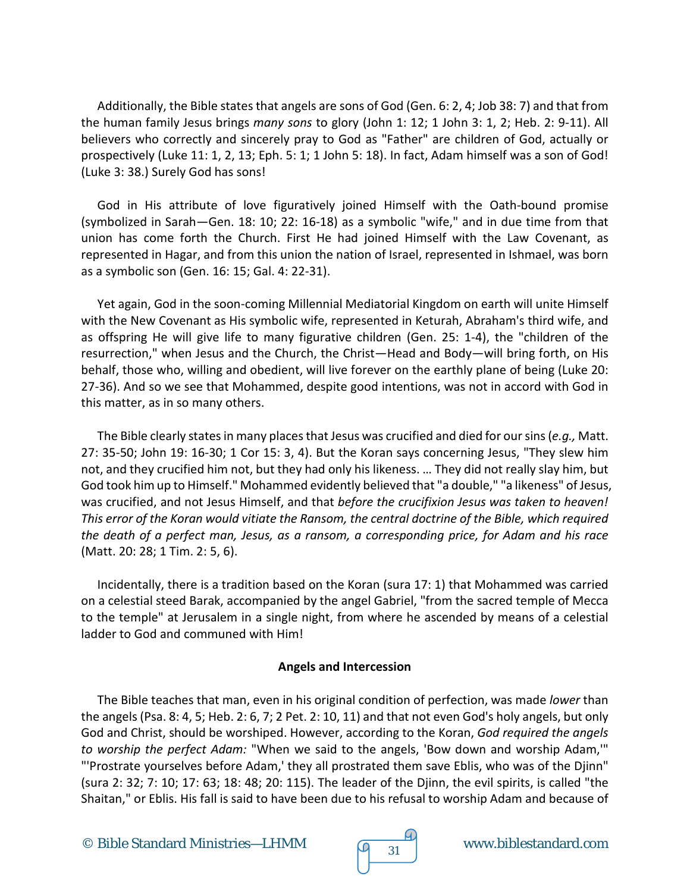Additionally, the Bible states that angels are sons of God (Gen. 6: 2, 4; Job 38: 7) and that from the human family Jesus brings *many sons* to glory (John 1: 12; 1 John 3: 1, 2; Heb. 2: 9-11). All believers who correctly and sincerely pray to God as "Father" are children of God, actually or prospectively (Luke 11: 1, 2, 13; Eph. 5: 1; 1 John 5: 18). In fact, Adam himself was a son of God! (Luke 3: 38.) Surely God has sons!

God in His attribute of love figuratively joined Himself with the Oath-bound promise (symbolized in Sarah—Gen. 18: 10; 22: 16-18) as a symbolic "wife," and in due time from that union has come forth the Church. First He had joined Himself with the Law Covenant, as represented in Hagar, and from this union the nation of Israel, represented in Ishmael, was born as a symbolic son (Gen. 16: 15; Gal. 4: 22-31).

Yet again, God in the soon-coming Millennial Mediatorial Kingdom on earth will unite Himself with the New Covenant as His symbolic wife, represented in Keturah, Abraham's third wife, and as offspring He will give life to many figurative children (Gen. 25: 1-4), the "children of the resurrection," when Jesus and the Church, the Christ—Head and Body—will bring forth, on His behalf, those who, willing and obedient, will live forever on the earthly plane of being (Luke 20: 27-36). And so we see that Mohammed, despite good intentions, was not in accord with God in this matter, as in so many others.

The Bible clearly states in many places that Jesus was crucified and died for our sins (*e.g.,* Matt. 27: 35-50; John 19: 16-30; 1 Cor 15: 3, 4). But the Koran says concerning Jesus, "They slew him not, and they crucified him not, but they had only his likeness. … They did not really slay him, but God took him up to Himself." Mohammed evidently believed that "a double," "a likeness" of Jesus, was crucified, and not Jesus Himself, and that *before the crucifixion Jesus was taken to heaven! This error of the Koran would vitiate the Ransom, the central doctrine of the Bible, which required the death of a perfect man, Jesus, as a ransom, a corresponding price, for Adam and his race* (Matt. 20: 28; 1 Tim. 2: 5, 6).

Incidentally, there is a tradition based on the Koran (sura 17: 1) that Mohammed was carried on a celestial steed Barak, accompanied by the angel Gabriel, "from the sacred temple of Mecca to the temple" at Jerusalem in a single night, from where he ascended by means of a celestial ladder to God and communed with Him!

## **Angels and Intercession**

The Bible teaches that man, even in his original condition of perfection, was made *lower* than the angels (Psa. 8: 4, 5; Heb. 2: 6, 7; 2 Pet. 2: 10, 11) and that not even God's holy angels, but only God and Christ, should be worshiped. However, according to the Koran, *God required the angels to worship the perfect Adam:* "When we said to the angels, 'Bow down and worship Adam,'" "'Prostrate yourselves before Adam,' they all prostrated them save Eblis, who was of the Djinn" (sura 2: 32; 7: 10; 17: 63; 18: 48; 20: 115). The leader of the Djinn, the evil spirits, is called "the Shaitan," or Eblis. His fall is said to have been due to his refusal to worship Adam and because of

© Bible Standard Ministries—LHMM  $\sqrt{9}$  31 www.biblestandard.com

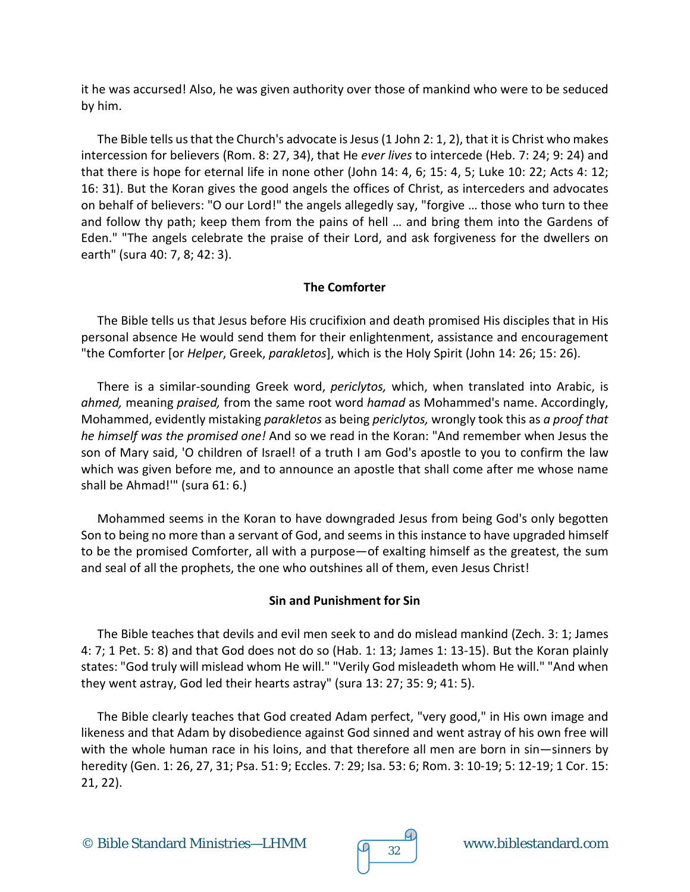it he was accursed! Also, he was given authority over those of mankind who were to be seduced by him.

The Bible tells us that the Church's advocate is Jesus (1 John 2: 1, 2), that it is Christ who makes intercession for believers (Rom. 8: 27, 34), that He *ever lives* to intercede (Heb. 7: 24; 9: 24) and that there is hope for eternal life in none other (John 14: 4, 6; 15: 4, 5; Luke 10: 22; Acts 4: 12; 16: 31). But the Koran gives the good angels the offices of Christ, as interceders and advocates on behalf of believers: "O our Lord!" the angels allegedly say, "forgive … those who turn to thee and follow thy path; keep them from the pains of hell … and bring them into the Gardens of Eden." "The angels celebrate the praise of their Lord, and ask forgiveness for the dwellers on earth" (sura 40: 7, 8; 42: 3).

## **The Comforter**

The Bible tells us that Jesus before His crucifixion and death promised His disciples that in His personal absence He would send them for their enlightenment, assistance and encouragement "the Comforter [or *Helper*, Greek, *parakletos*], which is the Holy Spirit (John 14: 26; 15: 26).

There is a similar-sounding Greek word, *periclytos,* which, when translated into Arabic, is *ahmed,* meaning *praised,* from the same root word *hamad* as Mohammed's name. Accordingly, Mohammed, evidently mistaking *parakletos* as being *periclytos,* wrongly took this as *a proof that he himself was the promised one!* And so we read in the Koran: "And remember when Jesus the son of Mary said, 'O children of Israel! of a truth I am God's apostle to you to confirm the law which was given before me, and to announce an apostle that shall come after me whose name shall be Ahmad!'" (sura 61: 6.)

Mohammed seems in the Koran to have downgraded Jesus from being God's only begotten Son to being no more than a servant of God, and seems in this instance to have upgraded himself to be the promised Comforter, all with a purpose—of exalting himself as the greatest, the sum and seal of all the prophets, the one who outshines all of them, even Jesus Christ!

## **Sin and Punishment for Sin**

The Bible teaches that devils and evil men seek to and do mislead mankind (Zech. 3: 1; James 4: 7; 1 Pet. 5: 8) and that God does not do so (Hab. 1: 13; James 1: 13-15). But the Koran plainly states: "God truly will mislead whom He will." "Verily God misleadeth whom He will." "And when they went astray, God led their hearts astray" (sura 13: 27; 35: 9; 41: 5).

The Bible clearly teaches that God created Adam perfect, "very good," in His own image and likeness and that Adam by disobedience against God sinned and went astray of his own free will with the whole human race in his loins, and that therefore all men are born in sin—sinners by heredity (Gen. 1: 26, 27, 31; Psa. 51: 9; Eccles. 7: 29; Isa. 53: 6; Rom. 3: 10-19; 5: 12-19; 1 Cor. 15: 21, 22).

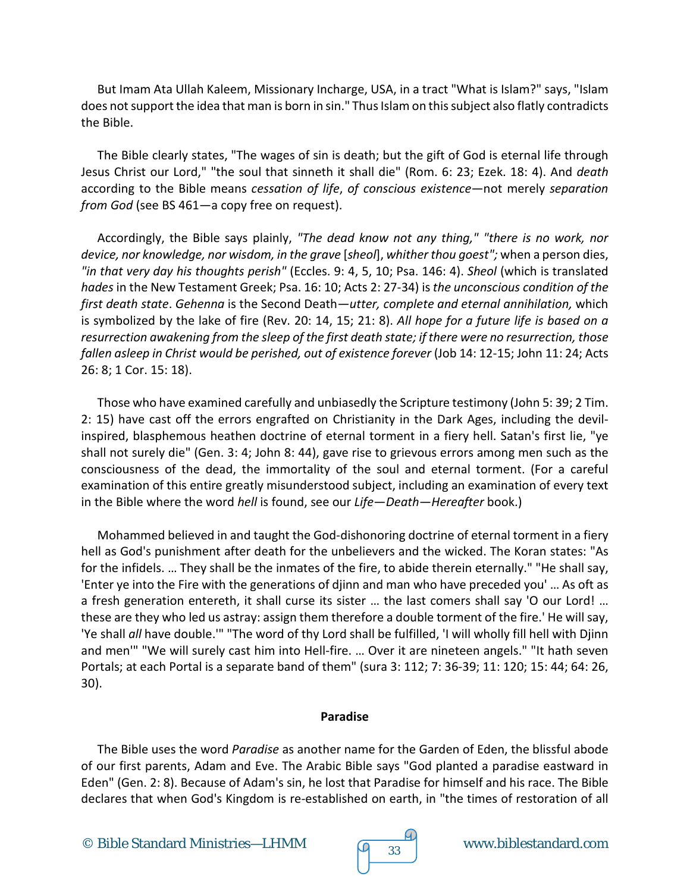But Imam Ata Ullah Kaleem, Missionary Incharge, USA, in a tract "What is Islam?" says, "Islam does not support the idea that man is born in sin." Thus Islam on this subject also flatly contradicts the Bible.

The Bible clearly states, "The wages of sin is death; but the gift of God is eternal life through Jesus Christ our Lord," "the soul that sinneth it shall die" (Rom. 6: 23; Ezek. 18: 4). And *death* according to the Bible means *cessation of life*, *of conscious existence*—not merely *separation from God* (see BS 461—a copy free on request).

Accordingly, the Bible says plainly, *"The dead know not any thing," "there is no work, nor device, nor knowledge, nor wisdom, in the grave* [*sheol*], *whither thou goest";* when a person dies, *"in that very day his thoughts perish"* (Eccles. 9: 4, 5, 10; Psa. 146: 4). *Sheol* (which is translated *hades* in the New Testament Greek; Psa. 16: 10; Acts 2: 27-34) is *the unconscious condition of the first death state*. *Gehenna* is the Second Death—*utter, complete and eternal annihilation,* which is symbolized by the lake of fire (Rev. 20: 14, 15; 21: 8). *All hope for a future life is based on a resurrection awakening from the sleep of the first death state; if there were no resurrection, those fallen asleep in Christ would be perished, out of existence forever* (Job 14: 12-15; John 11: 24; Acts 26: 8; 1 Cor. 15: 18).

Those who have examined carefully and unbiasedly the Scripture testimony (John 5: 39; 2 Tim. 2: 15) have cast off the errors engrafted on Christianity in the Dark Ages, including the devilinspired, blasphemous heathen doctrine of eternal torment in a fiery hell. Satan's first lie, "ye shall not surely die" (Gen. 3: 4; John 8: 44), gave rise to grievous errors among men such as the consciousness of the dead, the immortality of the soul and eternal torment. (For a careful examination of this entire greatly misunderstood subject, including an examination of every text in the Bible where the word *hell* is found, see our *Life*—*Death*—*Hereafter* book.)

Mohammed believed in and taught the God-dishonoring doctrine of eternal torment in a fiery hell as God's punishment after death for the unbelievers and the wicked. The Koran states: "As for the infidels. … They shall be the inmates of the fire, to abide therein eternally." "He shall say, 'Enter ye into the Fire with the generations of djinn and man who have preceded you' … As oft as a fresh generation entereth, it shall curse its sister … the last comers shall say 'O our Lord! … these are they who led us astray: assign them therefore a double torment of the fire.' He will say, 'Ye shall *all* have double.'" "The word of thy Lord shall be fulfilled, 'I will wholly fill hell with Djinn and men'" "We will surely cast him into Hell-fire. … Over it are nineteen angels." "It hath seven Portals; at each Portal is a separate band of them" (sura 3: 112; 7: 36-39; 11: 120; 15: 44; 64: 26, 30).

## **Paradise**

The Bible uses the word *Paradise* as another name for the Garden of Eden, the blissful abode of our first parents, Adam and Eve. The Arabic Bible says "God planted a paradise eastward in Eden" (Gen. 2: 8). Because of Adam's sin, he lost that Paradise for himself and his race. The Bible declares that when God's Kingdom is re-established on earth, in "the times of restoration of all



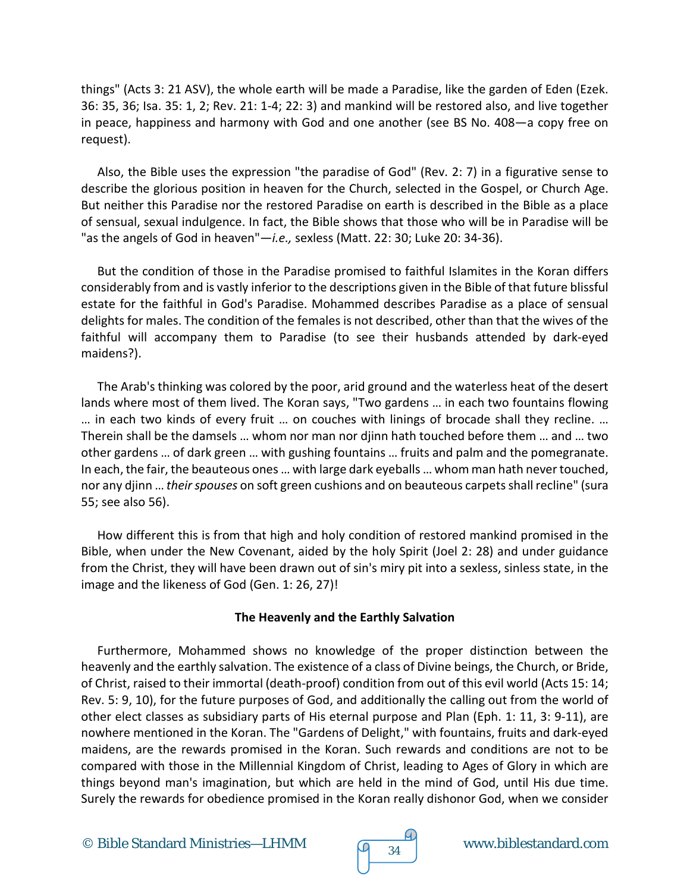things" (Acts 3: 21 ASV), the whole earth will be made a Paradise, like the garden of Eden (Ezek. 36: 35, 36; Isa. 35: 1, 2; Rev. 21: 1-4; 22: 3) and mankind will be restored also, and live together in peace, happiness and harmony with God and one another (see BS No. 408—a copy free on request).

Also, the Bible uses the expression "the paradise of God" (Rev. 2: 7) in a figurative sense to describe the glorious position in heaven for the Church, selected in the Gospel, or Church Age. But neither this Paradise nor the restored Paradise on earth is described in the Bible as a place of sensual, sexual indulgence. In fact, the Bible shows that those who will be in Paradise will be "as the angels of God in heaven"—*i.e.,* sexless (Matt. 22: 30; Luke 20: 34-36).

But the condition of those in the Paradise promised to faithful Islamites in the Koran differs considerably from and is vastly inferior to the descriptions given in the Bible of that future blissful estate for the faithful in God's Paradise. Mohammed describes Paradise as a place of sensual delights for males. The condition of the females is not described, other than that the wives of the faithful will accompany them to Paradise (to see their husbands attended by dark-eyed maidens?).

The Arab's thinking was colored by the poor, arid ground and the waterless heat of the desert lands where most of them lived. The Koran says, "Two gardens … in each two fountains flowing … in each two kinds of every fruit … on couches with linings of brocade shall they recline. … Therein shall be the damsels … whom nor man nor djinn hath touched before them … and … two other gardens … of dark green … with gushing fountains … fruits and palm and the pomegranate. In each, the fair, the beauteous ones … with large dark eyeballs … whom man hath never touched, nor any djinn … *their spouses* on soft green cushions and on beauteous carpets shall recline" (sura 55; see also 56).

How different this is from that high and holy condition of restored mankind promised in the Bible, when under the New Covenant, aided by the holy Spirit (Joel 2: 28) and under guidance from the Christ, they will have been drawn out of sin's miry pit into a sexless, sinless state, in the image and the likeness of God (Gen. 1: 26, 27)!

## **The Heavenly and the Earthly Salvation**

Furthermore, Mohammed shows no knowledge of the proper distinction between the heavenly and the earthly salvation. The existence of a class of Divine beings, the Church, or Bride, of Christ, raised to their immortal (death-proof) condition from out of this evil world (Acts 15: 14; Rev. 5: 9, 10), for the future purposes of God, and additionally the calling out from the world of other elect classes as subsidiary parts of His eternal purpose and Plan (Eph. 1: 11, 3: 9-11), are nowhere mentioned in the Koran. The "Gardens of Delight," with fountains, fruits and dark-eyed maidens, are the rewards promised in the Koran. Such rewards and conditions are not to be compared with those in the Millennial Kingdom of Christ, leading to Ages of Glory in which are things beyond man's imagination, but which are held in the mind of God, until His due time. Surely the rewards for obedience promised in the Koran really dishonor God, when we consider

© Bible Standard Ministries—LHMM  $\sqrt{q}$  34 www.biblestandard.com

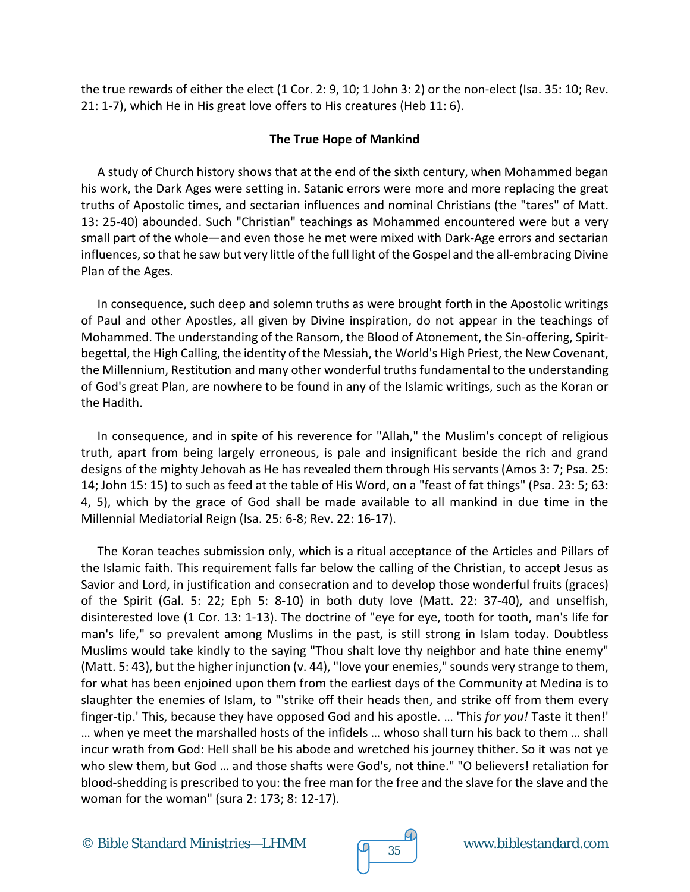the true rewards of either the elect (1 Cor. 2: 9, 10; 1 John 3: 2) or the non-elect (Isa. 35: 10; Rev. 21: 1-7), which He in His great love offers to His creatures (Heb 11: 6).

## **The True Hope of Mankind**

A study of Church history shows that at the end of the sixth century, when Mohammed began his work, the Dark Ages were setting in. Satanic errors were more and more replacing the great truths of Apostolic times, and sectarian influences and nominal Christians (the "tares" of Matt. 13: 25-40) abounded. Such "Christian" teachings as Mohammed encountered were but a very small part of the whole—and even those he met were mixed with Dark-Age errors and sectarian influences, so that he saw but very little of the full light of the Gospel and the all-embracing Divine Plan of the Ages.

In consequence, such deep and solemn truths as were brought forth in the Apostolic writings of Paul and other Apostles, all given by Divine inspiration, do not appear in the teachings of Mohammed. The understanding of the Ransom, the Blood of Atonement, the Sin-offering, Spiritbegettal, the High Calling, the identity of the Messiah, the World's High Priest, the New Covenant, the Millennium, Restitution and many other wonderful truths fundamental to the understanding of God's great Plan, are nowhere to be found in any of the Islamic writings, such as the Koran or the Hadith.

In consequence, and in spite of his reverence for "Allah," the Muslim's concept of religious truth, apart from being largely erroneous, is pale and insignificant beside the rich and grand designs of the mighty Jehovah as He has revealed them through His servants (Amos 3: 7; Psa. 25: 14; John 15: 15) to such as feed at the table of His Word, on a "feast of fat things" (Psa. 23: 5; 63: 4, 5), which by the grace of God shall be made available to all mankind in due time in the Millennial Mediatorial Reign (Isa. 25: 6-8; Rev. 22: 16-17).

The Koran teaches submission only, which is a ritual acceptance of the Articles and Pillars of the Islamic faith. This requirement falls far below the calling of the Christian, to accept Jesus as Savior and Lord, in justification and consecration and to develop those wonderful fruits (graces) of the Spirit (Gal. 5: 22; Eph 5: 8-10) in both duty love (Matt. 22: 37-40), and unselfish, disinterested love (1 Cor. 13: 1-13). The doctrine of "eye for eye, tooth for tooth, man's life for man's life," so prevalent among Muslims in the past, is still strong in Islam today. Doubtless Muslims would take kindly to the saying "Thou shalt love thy neighbor and hate thine enemy" (Matt. 5: 43), but the higher injunction (v. 44), "love your enemies," sounds very strange to them, for what has been enjoined upon them from the earliest days of the Community at Medina is to slaughter the enemies of Islam, to "'strike off their heads then, and strike off from them every finger-tip.' This, because they have opposed God and his apostle. … 'This *for you!* Taste it then!' … when ye meet the marshalled hosts of the infidels … whoso shall turn his back to them … shall incur wrath from God: Hell shall be his abode and wretched his journey thither. So it was not ye who slew them, but God … and those shafts were God's, not thine." "O believers! retaliation for blood-shedding is prescribed to you: the free man for the free and the slave for the slave and the woman for the woman" (sura 2: 173; 8: 12-17).